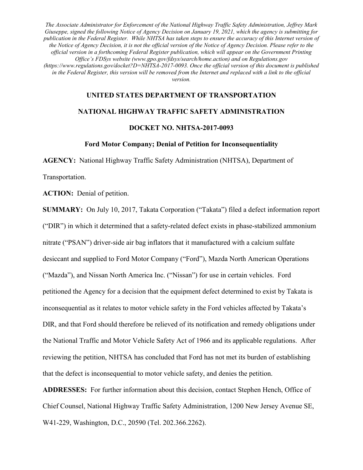#### **UNITED STATES DEPARTMENT OF TRANSPORTATION**

#### **NATIONAL HIGHWAY TRAFFIC SAFETY ADMINISTRATION**

#### **DOCKET NO. NHTSA-2017-0093**

#### **Ford Motor Company; Denial of Petition for Inconsequentiality**

**AGENCY:** National Highway Traffic Safety Administration (NHTSA), Department of

Transportation.

**ACTION:** Denial of petition.

**SUMMARY:** On July 10, 2017, Takata Corporation ("Takata") filed a defect information report ("DIR") in which it determined that a safety-related defect exists in phase-stabilized ammonium nitrate ("PSAN") driver-side air bag inflators that it manufactured with a calcium sulfate desiccant and supplied to Ford Motor Company ("Ford"), Mazda North American Operations ("Mazda"), and Nissan North America Inc. ("Nissan") for use in certain vehicles. Ford petitioned the Agency for a decision that the equipment defect determined to exist by Takata is inconsequential as it relates to motor vehicle safety in the Ford vehicles affected by Takata's DIR, and that Ford should therefore be relieved of its notification and remedy obligations under the National Traffic and Motor Vehicle Safety Act of 1966 and its applicable regulations. After reviewing the petition, NHTSA has concluded that Ford has not met its burden of establishing that the defect is inconsequential to motor vehicle safety, and denies the petition.

**ADDRESSES:** For further information about this decision, contact Stephen Hench, Office of Chief Counsel, National Highway Traffic Safety Administration, 1200 New Jersey Avenue SE, W41-229, Washington, D.C., 20590 (Tel. 202.366.2262).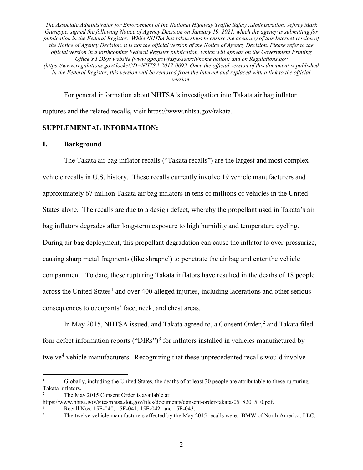For general information about NHTSA's investigation into Takata air bag inflator ruptures and the related recalls, visit https://www.nhtsa.gov/takata.

### **SUPPLEMENTAL INFORMATION:**

#### **I. Background**

The Takata air bag inflator recalls ("Takata recalls") are the largest and most complex vehicle recalls in U.S. history. These recalls currently involve 19 vehicle manufacturers and approximately 67 million Takata air bag inflators in tens of millions of vehicles in the United States alone. The recalls are due to a design defect, whereby the propellant used in Takata's air bag inflators degrades after long-term exposure to high humidity and temperature cycling. During air bag deployment, this propellant degradation can cause the inflator to over-pressurize, causing sharp metal fragments (like shrapnel) to penetrate the air bag and enter the vehicle compartment. To date, these rupturing Takata inflators have resulted in the deaths of 18 people across the United States<sup>1</sup> and over 400 alleged injuries, including lacerations and other serious consequences to occupants' face, neck, and chest areas.

In May 2015, NHTSA issued, and Takata agreed to, a Consent Order, <sup>2</sup> and Takata filed four defect information reports ("DIRs")<sup>3</sup> for inflators installed in vehicles manufactured by twelve<sup>4</sup> vehicle manufacturers. Recognizing that these unprecedented recalls would involve

<sup>&</sup>lt;sup>1</sup> Globally, including the United States, the deaths of at least 30 people are attributable to these rupturing Takata inflators.

<sup>2</sup> The May 2015 Consent Order is available at:

https://www.nhtsa.gov/sites/nhtsa.dot.gov/files/documents/consent-order-takata-05182015\_0.pdf. Recall Nos. 15E-040, 15E-041, 15E-042, and 15E-043.

<sup>4</sup> The twelve vehicle manufacturers affected by the May 2015 recalls were: BMW of North America, LLC;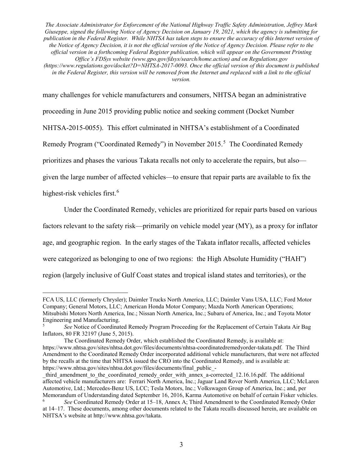many challenges for vehicle manufacturers and consumers, NHTSA began an administrative proceeding in June 2015 providing public notice and seeking comment (Docket Number NHTSA-2015-0055). This effort culminated in NHTSA's establishment of a Coordinated Remedy Program ("Coordinated Remedy") in November 2015.<sup>5</sup> The Coordinated Remedy prioritizes and phases the various Takata recalls not only to accelerate the repairs, but also given the large number of affected vehicles—to ensure that repair parts are available to fix the

highest-risk vehicles first.<sup>6</sup>

 $\overline{a}$ 

Under the Coordinated Remedy, vehicles are prioritized for repair parts based on various

factors relevant to the safety risk—primarily on vehicle model year (MY), as a proxy for inflator

age, and geographic region. In the early stages of the Takata inflator recalls, affected vehicles

were categorized as belonging to one of two regions: the High Absolute Humidity ("HAH")

region (largely inclusive of Gulf Coast states and tropical island states and territories), or the

FCA US, LLC (formerly Chrysler); Daimler Trucks North America, LLC; Daimler Vans USA, LLC; Ford Motor Company; General Motors, LLC; American Honda Motor Company; Mazda North American Operations; Mitsubishi Motors North America, Inc.; Nissan North America, Inc.; Subaru of America, Inc.; and Toyota Motor Engineering and Manufacturing.

<sup>5</sup> *See* Notice of Coordinated Remedy Program Proceeding for the Replacement of Certain Takata Air Bag Inflators, 80 FR 32197 (June 5, 2015).

The Coordinated Remedy Order, which established the Coordinated Remedy, is available at: https://www.nhtsa.gov/sites/nhtsa.dot.gov/files/documents/nhtsa-coordinatedremedyorder-takata.pdf. The Third Amendment to the Coordinated Remedy Order incorporated additional vehicle manufacturers, that were not affected by the recalls at the time that NHTSA issued the CRO into the Coordinated Remedy, and is available at: https://www.nhtsa.gov/sites/nhtsa.dot.gov/files/documents/final\_public\_-

third amendment to the coordinated remedy order with annex a-corrected 12.16.16.pdf. The additional affected vehicle manufacturers are: Ferrari North America, Inc.; Jaguar Land Rover North America, LLC; McLaren Automotive, Ltd.; Mercedes-Benz US, LCC; Tesla Motors, Inc.; Volkswagen Group of America, Inc.; and, per Memorandum of Understanding dated September 16, 2016, Karma Automotive on behalf of certain Fisker vehicles.

<sup>6</sup> *See* Coordinated Remedy Order at 15–18, Annex A; Third Amendment to the Coordinated Remedy Order at 14–17. These documents, among other documents related to the Takata recalls discussed herein, are available on NHTSA's website at http://www.nhtsa.gov/takata.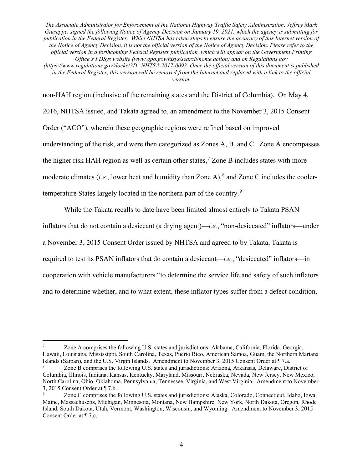*version.*

non-HAH region (inclusive of the remaining states and the District of Columbia). On May 4, 2016, NHTSA issued, and Takata agreed to, an amendment to the November 3, 2015 Consent Order ("ACO"), wherein these geographic regions were refined based on improved understanding of the risk, and were then categorized as Zones A, B, and C. Zone A encompasses the higher risk HAH region as well as certain other states,<sup>7</sup> Zone B includes states with more moderate climates (*i.e.*, lower heat and humidity than Zone A), $^8$  and Zone C includes the coolertemperature States largely located in the northern part of the country.<sup>9</sup>

While the Takata recalls to date have been limited almost entirely to Takata PSAN inflators that do not contain a desiccant (a drying agent)—*i.e.*, "non-desiccated" inflators—under a November 3, 2015 Consent Order issued by NHTSA and agreed to by Takata, Takata is required to test its PSAN inflators that do contain a desiccant—*i.e.*, "desiccated" inflators—in cooperation with vehicle manufacturers "to determine the service life and safety of such inflators and to determine whether, and to what extent, these inflator types suffer from a defect condition,

 <sup>7</sup> Zone A comprises the following U.S. states and jurisdictions: Alabama, California, Florida, Georgia, Hawaii, Louisiana, Mississippi, South Carolina, Texas, Puerto Rico, American Samoa, Guam, the Northern Mariana Islands (Saipan), and the U.S. Virgin Islands. Amendment to November 3, 2015 Consent Order at ¶ 7.a.

Zone B comprises the following U.S. states and jurisdictions: Arizona, Arkansas, Delaware, District of Columbia, Illinois, Indiana, Kansas, Kentucky, Maryland, Missouri, Nebraska, Nevada, New Jersey, New Mexico, North Carolina, Ohio, Oklahoma, Pennsylvania, Tennessee, Virginia, and West Virginia. Amendment to November 3, 2015 Consent Order at ¶ 7.b.

<sup>9</sup> Zone C comprises the following U.S. states and jurisdictions: Alaska, Colorado, Connecticut, Idaho, Iowa, Maine, Massachusetts, Michigan, Minnesota, Montana, New Hampshire, New York, North Dakota, Oregon, Rhode Island, South Dakota, Utah, Vermont, Washington, Wisconsin, and Wyoming. Amendment to November 3, 2015 Consent Order at ¶ 7.c.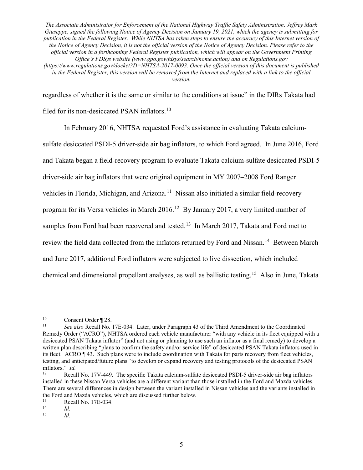regardless of whether it is the same or similar to the conditions at issue" in the DIRs Takata had filed for its non-desiccated PSAN inflators.<sup>10</sup>

In February 2016, NHTSA requested Ford's assistance in evaluating Takata calciumsulfate desiccated PSDI-5 driver-side air bag inflators, to which Ford agreed. In June 2016, Ford and Takata began a field-recovery program to evaluate Takata calcium-sulfate desiccated PSDI-5 driver-side air bag inflators that were original equipment in MY 2007–2008 Ford Ranger vehicles in Florida, Michigan, and Arizona.<sup>11</sup> Nissan also initiated a similar field-recovery program for its Versa vehicles in March 2016.<sup>12</sup> By January 2017, a very limited number of samples from Ford had been recovered and tested.<sup>13</sup> In March 2017, Takata and Ford met to review the field data collected from the inflators returned by Ford and Nissan.<sup>14</sup> Between March and June 2017, additional Ford inflators were subjected to live dissection, which included chemical and dimensional propellant analyses, as well as ballistic testing.15 Also in June, Takata

<sup>&</sup>lt;sup>10</sup> Consent Order  $\P$  28.<br><sup>11</sup> See also Recall No.

<sup>11</sup> *See also* Recall No. 17E-034. Later, under Paragraph 43 of the Third Amendment to the Coordinated Remedy Order ("ACRO"), NHTSA ordered each vehicle manufacturer "with any vehicle in its fleet equipped with a desiccated PSAN Takata inflator" (and not using or planning to use such an inflator as a final remedy) to develop a written plan describing "plans to confirm the safety and/or service life" of desiccated PSAN Takata inflators used in its fleet. ACRO ¶ 43. Such plans were to include coordination with Takata for parts recovery from fleet vehicles, testing, and anticipated/future plans "to develop or expand recovery and testing protocols of the desiccated PSAN inflators." *Id.*

Recall No. 17V-449. The specific Takata calcium-sulfate desiccated PSDI-5 driver-side air bag inflators installed in these Nissan Versa vehicles are a different variant than those installed in the Ford and Mazda vehicles. There are several differences in design between the variant installed in Nissan vehicles and the variants installed in the Ford and Mazda vehicles, which are discussed further below.<br> $\frac{13}{13}$  Recall No. 17E 024

<sup>13</sup> **Recall No. 17E-034.**<br>
14 *Id.*<br>
15 *Id* 

*Id.*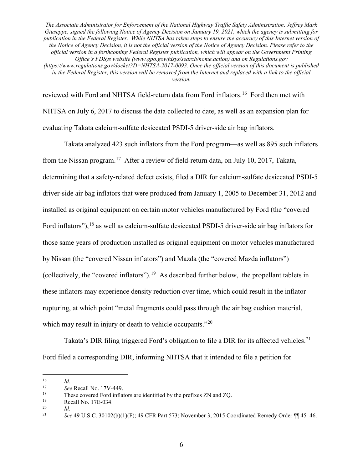reviewed with Ford and NHTSA field-return data from Ford inflators.<sup>16</sup> Ford then met with NHTSA on July 6, 2017 to discuss the data collected to date, as well as an expansion plan for evaluating Takata calcium-sulfate desiccated PSDI-5 driver-side air bag inflators.

Takata analyzed 423 such inflators from the Ford program—as well as 895 such inflators from the Nissan program.<sup>17</sup> After a review of field-return data, on July 10, 2017, Takata, determining that a safety-related defect exists, filed a DIR for calcium-sulfate desiccated PSDI-5 driver-side air bag inflators that were produced from January 1, 2005 to December 31, 2012 and installed as original equipment on certain motor vehicles manufactured by Ford (the "covered Ford inflators"), <sup>18</sup> as well as calcium-sulfate desiccated PSDI-5 driver-side air bag inflators for those same years of production installed as original equipment on motor vehicles manufactured by Nissan (the "covered Nissan inflators") and Mazda (the "covered Mazda inflators") (collectively, the "covered inflators").<sup>19</sup> As described further below, the propellant tablets in these inflators may experience density reduction over time, which could result in the inflator rupturing, at which point "metal fragments could pass through the air bag cushion material, which may result in injury or death to vehicle occupants."<sup>20</sup>

Takata's DIR filing triggered Ford's obligation to file a DIR for its affected vehicles.<sup>21</sup> Ford filed a corresponding DIR, informing NHTSA that it intended to file a petition for

 $\frac{16}{17}$  *Id.* 

<sup>17</sup> *See* Recall No. 17V-449.

<sup>&</sup>lt;sup>18</sup> These covered Ford inflators are identified by the prefixes ZN and ZQ.<br>Recall No.  $17F-034$ 

<sup>&</sup>lt;sup>19</sup> Recall No. 17E-034.<br>
<sup>20</sup> *Id* 

 $\frac{20}{21}$  *Id.*<br>See

<sup>21</sup> *See* 49 U.S.C. 30102(b)(1)(F); 49 CFR Part 573; November 3, 2015 Coordinated Remedy Order ¶¶ 45–46.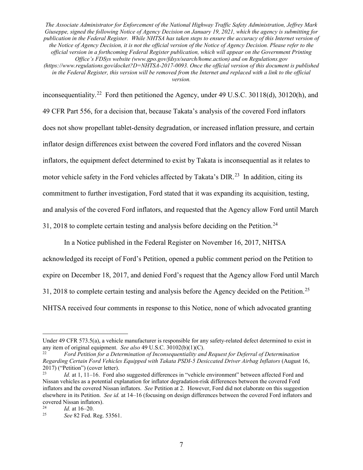*version.*

inconsequentiality.<sup>22</sup> Ford then petitioned the Agency, under 49 U.S.C. 30118(d), 30120(h), and 49 CFR Part 556, for a decision that, because Takata's analysis of the covered Ford inflators does not show propellant tablet-density degradation, or increased inflation pressure, and certain inflator design differences exist between the covered Ford inflators and the covered Nissan inflators, the equipment defect determined to exist by Takata is inconsequential as it relates to motor vehicle safety in the Ford vehicles affected by Takata's DIR.<sup>23</sup> In addition, citing its commitment to further investigation, Ford stated that it was expanding its acquisition, testing, and analysis of the covered Ford inflators, and requested that the Agency allow Ford until March 31, 2018 to complete certain testing and analysis before deciding on the Petition.<sup>24</sup>

In a Notice published in the Federal Register on November 16, 2017, NHTSA

acknowledged its receipt of Ford's Petition, opened a public comment period on the Petition to expire on December 18, 2017, and denied Ford's request that the Agency allow Ford until March 31, 2018 to complete certain testing and analysis before the Agency decided on the Petition.<sup>25</sup> NHTSA received four comments in response to this Notice, none of which advocated granting

 $\overline{a}$ 

Under 49 CFR 573.5(a), a vehicle manufacturer is responsible for any safety-related defect determined to exist in any item of original equipment. *See also* 49 U.S.C. 30102(b)(1)(C).

<sup>22</sup> *Ford Petition for a Determination of Inconsequentiality and Request for Deferral of Determination Regarding Certain Ford Vehicles Equipped with Takata PSDI-5 Desiccated Driver Airbag Inflators* (August 16, 2017) ("Petition") (cover letter). 23 *Id.* at 1, 11–16. Ford also suggested differences in "vehicle environment" between affected Ford and

Nissan vehicles as a potential explanation for inflator degradation-risk differences between the covered Ford inflators and the covered Nissan inflators. *See* Petition at 2. However, Ford did not elaborate on this suggestion elsewhere in its Petition. *See id.* at 14–16 (focusing on design differences between the covered Ford inflators and covered Nissan inflators).

<sup>&</sup>lt;sup>24</sup> *Id.* at 16–20.<br><sup>25</sup> *See* 82 Fed F

<sup>25</sup> *See* 82 Fed. Reg. 53561.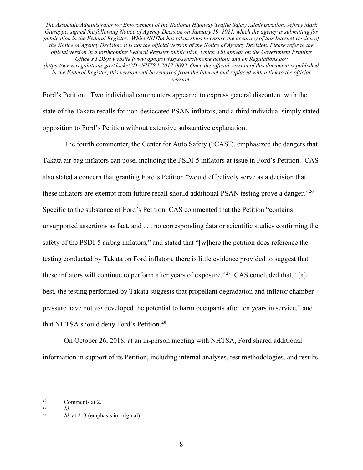Ford's Petition. Two individual commenters appeared to express general discontent with the state of the Takata recalls for non-desiccated PSAN inflators, and a third individual simply stated opposition to Ford's Petition without extensive substantive explanation.

The fourth commenter, the Center for Auto Safety ("CAS"), emphasized the dangers that Takata air bag inflators can pose, including the PSDI-5 inflators at issue in Ford's Petition. CAS also stated a concern that granting Ford's Petition "would effectively serve as a decision that these inflators are exempt from future recall should additional PSAN testing prove a danger."<sup>26</sup> Specific to the substance of Ford's Petition, CAS commented that the Petition "contains unsupported assertions as fact, and . . . no corresponding data or scientific studies confirming the safety of the PSDI-5 airbag inflators," and stated that "[w]here the petition does reference the testing conducted by Takata on Ford inflators, there is little evidence provided to suggest that these inflators will continue to perform after years of exposure."<sup>27</sup> CAS concluded that, "[a]t best, the testing performed by Takata suggests that propellant degradation and inflator chamber pressure have not *yet* developed the potential to harm occupants after ten years in service," and that NHTSA should deny Ford's Petition.<sup>28</sup>

On October 26, 2018, at an in-person meeting with NHTSA, Ford shared additional information in support of its Petition, including internal analyses, test methodologies, and results

 $\frac{26}{27}$  Comments at 2.

 $\frac{27}{28}$  *Id.* 

*Id.* at  $2-3$  (emphasis in original).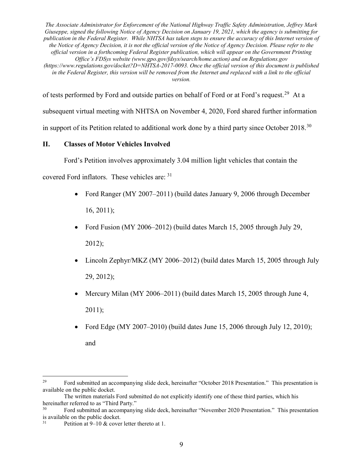of tests performed by Ford and outside parties on behalf of Ford or at Ford's request.<sup>29</sup> At a subsequent virtual meeting with NHTSA on November 4, 2020, Ford shared further information in support of its Petition related to additional work done by a third party since October 2018.<sup>30</sup>

## **II. Classes of Motor Vehicles Involved**

Ford's Petition involves approximately 3.04 million light vehicles that contain the

covered Ford inflators. These vehicles are: <sup>31</sup>

- Ford Ranger (MY 2007–2011) (build dates January 9, 2006 through December 16, 2011);
- Ford Fusion (MY 2006–2012) (build dates March 15, 2005 through July 29, 2012);
- Lincoln Zephyr/MKZ (MY 2006–2012) (build dates March 15, 2005 through July 29, 2012);
- Mercury Milan (MY 2006–2011) (build dates March 15, 2005 through June 4, 2011);
- Ford Edge (MY 2007–2010) (build dates June 15, 2006 through July 12, 2010); and

<sup>&</sup>lt;sup>29</sup> Ford submitted an accompanying slide deck, hereinafter "October 2018 Presentation." This presentation is available on the public docket.

The written materials Ford submitted do not explicitly identify one of these third parties, which his hereinafter referred to as "Third Party."

Ford submitted an accompanying slide deck, hereinafter "November 2020 Presentation." This presentation is available on the public docket.

<sup>&</sup>lt;sup>31</sup> Petition at  $9-10$  & cover letter thereto at 1.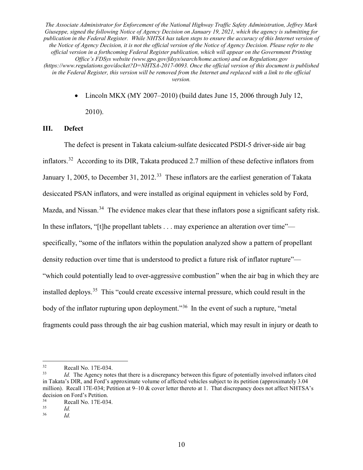> • Lincoln MKX (MY 2007–2010) (build dates June 15, 2006 through July 12, 2010).

### **III. Defect**

The defect is present in Takata calcium-sulfate desiccated PSDI-5 driver-side air bag inflators.32 According to its DIR, Takata produced 2.7 million of these defective inflators from January 1, 2005, to December 31, 2012.<sup>33</sup> These inflators are the earliest generation of Takata desiccated PSAN inflators, and were installed as original equipment in vehicles sold by Ford, Mazda, and Nissan.<sup>34</sup> The evidence makes clear that these inflators pose a significant safety risk. In these inflators, "[t]he propellant tablets . . . may experience an alteration over time" specifically, "some of the inflators within the population analyzed show a pattern of propellant density reduction over time that is understood to predict a future risk of inflator rupture"— "which could potentially lead to over-aggressive combustion" when the air bag in which they are installed deploys.<sup>35</sup> This "could create excessive internal pressure, which could result in the body of the inflator rupturing upon deployment."<sup>36</sup> In the event of such a rupture, "metal" fragments could pass through the air bag cushion material, which may result in injury or death to

<sup>32</sup> Recall No. 17E-034. 33 *Id.* The Agency notes that there is a discrepancy between this figure of potentially involved inflators cited in Takata's DIR, and Ford's approximate volume of affected vehicles subject to its petition (approximately 3.04 million). Recall 17E-034; Petition at 9–10 & cover letter thereto at 1. That discrepancy does not affect NHTSA's decision on Ford's Petition.<br>
Recall No. 17E-034

 $\frac{34}{35}$  Recall No. 17E-034.

 $rac{35}{36}$  *Id.* <sup>36</sup> *Id.*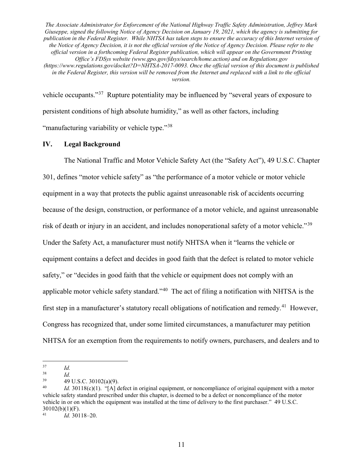vehicle occupants."<sup>37</sup> Rupture potentiality may be influenced by "several years of exposure to persistent conditions of high absolute humidity," as well as other factors, including "manufacturing variability or vehicle type."<sup>38</sup>

### **IV. Legal Background**

The National Traffic and Motor Vehicle Safety Act (the "Safety Act"), 49 U.S.C. Chapter 301, defines "motor vehicle safety" as "the performance of a motor vehicle or motor vehicle equipment in a way that protects the public against unreasonable risk of accidents occurring because of the design, construction, or performance of a motor vehicle, and against unreasonable risk of death or injury in an accident, and includes nonoperational safety of a motor vehicle."<sup>39</sup> Under the Safety Act, a manufacturer must notify NHTSA when it "learns the vehicle or equipment contains a defect and decides in good faith that the defect is related to motor vehicle safety," or "decides in good faith that the vehicle or equipment does not comply with an applicable motor vehicle safety standard."40 The act of filing a notification with NHTSA is the first step in a manufacturer's statutory recall obligations of notification and remedy.<sup>41</sup> However, Congress has recognized that, under some limited circumstances, a manufacturer may petition NHTSA for an exemption from the requirements to notify owners, purchasers, and dealers and to

 $\frac{37}{}$  *Id.* 

 $rac{38}{39}$  *Id.* 

 $^{39}$  49 U.S.C. 30102(a)(9).<br>  $^{40}$   $^{14}$  20119(a)(1) "Lateral d

*Id.* 30118(c)(1). "[A] defect in original equipment, or noncompliance of original equipment with a motor vehicle safety standard prescribed under this chapter, is deemed to be a defect or noncompliance of the motor vehicle in or on which the equipment was installed at the time of delivery to the first purchaser." 49 U.S.C. 30102(b)(1)(F).

<sup>41</sup> *Id.* 30118–20.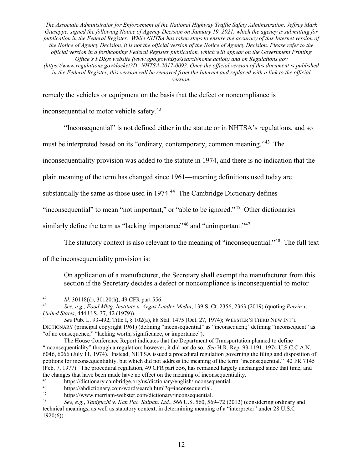remedy the vehicles or equipment on the basis that the defect or noncompliance is

inconsequential to motor vehicle safety.42

"Inconsequential" is not defined either in the statute or in NHTSA's regulations, and so

must be interpreted based on its "ordinary, contemporary, common meaning."43 The

inconsequentiality provision was added to the statute in 1974, and there is no indication that the

plain meaning of the term has changed since 1961—meaning definitions used today are

substantially the same as those used in 1974.<sup>44</sup> The Cambridge Dictionary defines

"inconsequential" to mean "not important," or "able to be ignored."45 Other dictionaries

similarly define the term as "lacking importance"<sup>46</sup> and "unimportant."<sup>47</sup>

The statutory context is also relevant to the meaning of "inconsequential."<sup>48</sup> The full text

of the inconsequentiality provision is:

On application of a manufacturer, the Secretary shall exempt the manufacturer from this section if the Secretary decides a defect or noncompliance is inconsequential to motor

<sup>44</sup> *See* Pub. L. 93-492, Title I, § 102(a), 88 Stat. 1475 (Oct. 27, 1974); WEBSTER'S THIRD NEW INT'L

 <sup>42</sup> *Id.* 30118(d), 30120(h); 49 CFR part 556.

<sup>43</sup> *See, e.g.*, *Food Mktg. Institute v. Argus Leader Media*, 139 S. Ct. 2356, 2363 (2019) (quoting *Perrin v. United States*, 444 U.S. 37, 42 (1979)).

DICTIONARY (principal copyright 1961) (defining "inconsequential" as "inconsequent;' defining "inconsequent" as "of no consequence," "lacking worth, significance, or importance").

The House Conference Report indicates that the Department of Transportation planned to define "inconsequentiality" through a regulation; however, it did not do so. *See* H.R. Rep. 93-1191, 1974 U.S.C.C.A.N. 6046, 6066 (July 11, 1974). Instead, NHTSA issued a procedural regulation governing the filing and disposition of petitions for inconsequentiality, but which did not address the meaning of the term "inconsequential." 42 FR 7145 (Feb. 7, 1977). The procedural regulation, 49 CFR part 556, has remained largely unchanged since that time, and the changes that have been made have no effect on the meaning of inconsequentiality.<br><sup>45</sup><br>the *distinguisting orgins distinguisting productions in the meaning of inconsequential* 

<sup>45</sup> https://dictionary.cambridge.org/us/dictionary/english/inconsequential.

<sup>46</sup> https://ahdictionary.com/word/search.html?q=inconsequential.<br>47 https://www.merriam.webster.com/dictionary/inconsequential.

https://www.merriam-webster.com/dictionary/inconsequential.

<sup>48</sup> *See, e.g.*, *Taniguchi v. Kan Pac. Saipan, Ltd.*, 566 U.S. 560, 569–72 (2012) (considering ordinary and technical meanings, as well as statutory context, in determining meaning of a "interpreter" under 28 U.S.C. 1920(6)).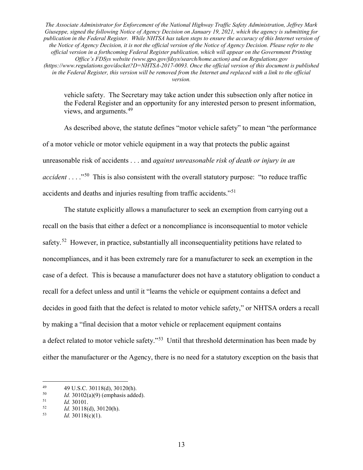vehicle safety. The Secretary may take action under this subsection only after notice in the Federal Register and an opportunity for any interested person to present information, views, and arguments.<sup>49</sup>

As described above, the statute defines "motor vehicle safety" to mean "the performance of a motor vehicle or motor vehicle equipment in a way that protects the public against unreasonable risk of accidents . . . and *against unreasonable risk of death or injury in an accident* . . . .<sup>50</sup> This is also consistent with the overall statutory purpose: "to reduce traffic accidents and deaths and injuries resulting from traffic accidents."51

The statute explicitly allows a manufacturer to seek an exemption from carrying out a recall on the basis that either a defect or a noncompliance is inconsequential to motor vehicle safety.<sup>52</sup> However, in practice, substantially all inconsequentiality petitions have related to noncompliances, and it has been extremely rare for a manufacturer to seek an exemption in the case of a defect. This is because a manufacturer does not have a statutory obligation to conduct a recall for a defect unless and until it "learns the vehicle or equipment contains a defect and decides in good faith that the defect is related to motor vehicle safety," or NHTSA orders a recall by making a "final decision that a motor vehicle or replacement equipment contains a defect related to motor vehicle safety."53 Until that threshold determination has been made by either the manufacturer or the Agency, there is no need for a statutory exception on the basis that

<sup>49 49</sup> U.S.C. 30118(d), 30120(h).<br> *Id.* 30102(a)(9) (emphasis added).<br> *Id*. 30101

 $\frac{51}{52}$  *Id.* 30101.

<sup>&</sup>lt;sup>52</sup> *Id.* 30118(d), 30120(h).<br> *Id* 30118(c)(1)

<sup>53</sup> *Id.* 30118(c)(1).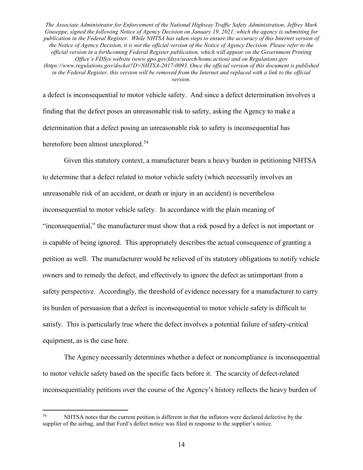a defect is inconsequential to motor vehicle safety. And since a defect determination involves a finding that the defect poses an unreasonable risk to safety, asking the Agency to make a determination that a defect posing an unreasonable risk to safety is inconsequential has heretofore been almost unexplored.<sup>54</sup>

Given this statutory context, a manufacturer bears a heavy burden in petitioning NHTSA to determine that a defect related to motor vehicle safety (which necessarily involves an unreasonable risk of an accident, or death or injury in an accident) is nevertheless inconsequential to motor vehicle safety. In accordance with the plain meaning of "inconsequential," the manufacturer must show that a risk posed by a defect is not important or is capable of being ignored. This appropriately describes the actual consequence of granting a petition as well. The manufacturer would be relieved of its statutory obligations to notify vehicle owners and to remedy the defect, and effectively to ignore the defect as unimportant from a safety perspective. Accordingly, the threshold of evidence necessary for a manufacturer to carry its burden of persuasion that a defect is inconsequential to motor vehicle safety is difficult to satisfy. This is particularly true where the defect involves a potential failure of safety-critical equipment, as is the case here.

The Agency necessarily determines whether a defect or noncompliance is inconsequential to motor vehicle safety based on the specific facts before it. The scarcity of defect-related inconsequentiality petitions over the course of the Agency's history reflects the heavy burden of

<sup>&</sup>lt;sup>54</sup> NHTSA notes that the current petition is different in that the inflators were declared defective by the supplier of the airbag, and that Ford's defect notice was filed in response to the supplier's notice.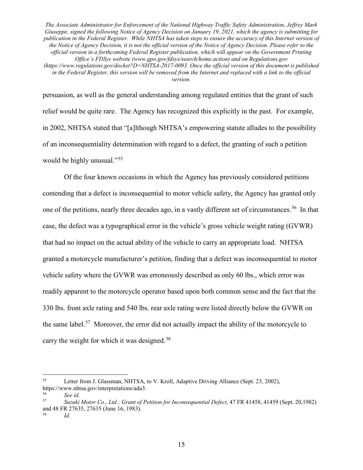persuasion, as well as the general understanding among regulated entities that the grant of such relief would be quite rare. The Agency has recognized this explicitly in the past. For example, in 2002, NHTSA stated that "[a]lthough NHTSA's empowering statute alludes to the possibility of an inconsequentiality determination with regard to a defect, the granting of such a petition would be highly unusual."<sup>55</sup>

Of the four known occasions in which the Agency has previously considered petitions contending that a defect is inconsequential to motor vehicle safety, the Agency has granted only one of the petitions, nearly three decades ago, in a vastly different set of circumstances. <sup>56</sup>In that case, the defect was a typographical error in the vehicle's gross vehicle weight rating (GVWR) that had no impact on the actual ability of the vehicle to carry an appropriate load. NHTSA granted a motorcycle manufacturer's petition, finding that a defect was inconsequential to motor vehicle safety where the GVWR was erroneously described as only 60 lbs., which error was readily apparent to the motorcycle operator based upon both common sense and the fact that the 330 lbs. front axle rating and 540 lbs. rear axle rating were listed directly below the GVWR on the same label.<sup>57</sup> Moreover, the error did not actually impact the ability of the motorcycle to carry the weight for which it was designed.<sup>58</sup>

<sup>58</sup> *Id.*

 <sup>55</sup> Letter from J. Glassman, NHTSA, to V. Kroll, Adaptive Driving Alliance (Sept. 23, 2002), https://www.nhtsa.gov/interpretations/ada3.

<sup>56</sup> *See id.*

<sup>57</sup> *Suzuki Motor Co., Ltd.; Grant of Petition for Inconsequential Defect*, 47 FR 41458, 41459 (Sept. 20,1982) and 48 FR 27635, 27635 (June 16, 1983).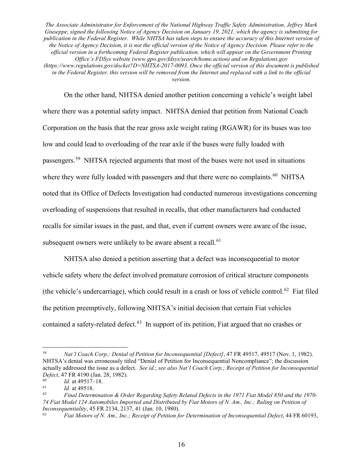On the other hand, NHTSA denied another petition concerning a vehicle's weight label where there was a potential safety impact. NHTSA denied that petition from National Coach Corporation on the basis that the rear gross axle weight rating (RGAWR) for its buses was too low and could lead to overloading of the rear axle if the buses were fully loaded with passengers.59 NHTSA rejected arguments that most of the buses were not used in situations where they were fully loaded with passengers and that there were no complaints.<sup>60</sup> NHTSA noted that its Office of Defects Investigation had conducted numerous investigations concerning overloading of suspensions that resulted in recalls, that other manufacturers had conducted recalls for similar issues in the past, and that, even if current owners were aware of the issue, subsequent owners were unlikely to be aware absent a recall.<sup>61</sup>

NHTSA also denied a petition asserting that a defect was inconsequential to motor vehicle safety where the defect involved premature corrosion of critical structure components (the vehicle's undercarriage), which could result in a crash or loss of vehicle control.<sup>62</sup> Fiat filed the petition preemptively, following NHTSA's initial decision that certain Fiat vehicles contained a safety-related defect.<sup>63</sup> In support of its petition, Fiat argued that no crashes or

 <sup>59</sup> *Nat'l Coach Corp.; Denial of Petition for Inconsequential [Defect]*, 47 FR 49517, 49517 (Nov. 1, 1982). NHTSA's denial was erroneously titled "Denial of Petition for Inconsequential Noncompliance"; the discussion actually addressed the issue as a defect. *See id.*; *see also Nat'l Coach Corp.; Receipt of Petition for Inconsequential Defect*, 47 FR 4190 (Jan. 28, 1982).

 $\frac{60}{61}$  *Id.* at 49517–18.

 $\frac{61}{62}$  *Id.* at 49518.

<sup>62</sup> *Final Determination & Order Regarding Safety Related Defects in the 1971 Fiat Model 850 and the 1970- 74 Fiat Model 124 Automobiles Imported and Distributed by Fiat Motors of N. Am., Inc.; Ruling on Petition of Inconsequentiality*, 45 FR 2134, 2137, 41 (Jan. 10, 1980).<br><sup>63</sup> *Fiat Motors of N. Am., Inc.; Receipt of Petition for Determination of Inconsequential Defect*, 44 FR 60193,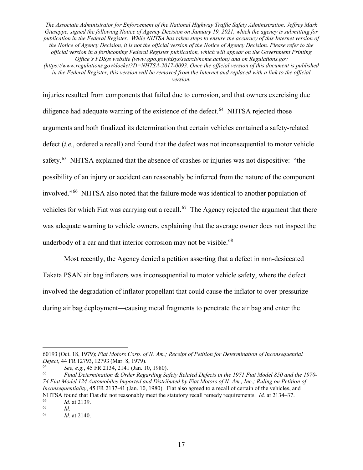injuries resulted from components that failed due to corrosion, and that owners exercising due diligence had adequate warning of the existence of the defect.<sup>64</sup> NHTSA rejected those arguments and both finalized its determination that certain vehicles contained a safety-related defect (*i.e.*, ordered a recall) and found that the defect was not inconsequential to motor vehicle safety.<sup>65</sup> NHTSA explained that the absence of crashes or injuries was not dispositive: "the possibility of an injury or accident can reasonably be inferred from the nature of the component involved."66 NHTSA also noted that the failure mode was identical to another population of vehicles for which Fiat was carrying out a recall.<sup>67</sup> The Agency rejected the argument that there was adequate warning to vehicle owners, explaining that the average owner does not inspect the underbody of a car and that interior corrosion may not be visible.<sup>68</sup>

Most recently, the Agency denied a petition asserting that a defect in non-desiccated Takata PSAN air bag inflators was inconsequential to motor vehicle safety, where the defect involved the degradation of inflator propellant that could cause the inflator to over-pressurize during air bag deployment—causing metal fragments to penetrate the air bag and enter the

 $\overline{a}$ 60193 (Oct. 18, 1979); *Fiat Motors Corp. of N. Am.; Receipt of Petition for Determination of Inconsequential Defect*, 44 FR 12793, 12793 (Mar. 8, 1979).

<sup>64</sup> *See, e.g.*, 45 FR 2134, 2141 (Jan. 10, 1980).

<sup>65</sup> *Final Determination & Order Regarding Safety Related Defects in the 1971 Fiat Model 850 and the 1970- 74 Fiat Model 124 Automobiles Imported and Distributed by Fiat Motors of N. Am., Inc.; Ruling on Petition of Inconsequentiality*, 45 FR 2137-41 (Jan. 10, 1980). Fiat also agreed to a recall of certain of the vehicles, and NHTSA found that Fiat did not reasonably meet the statutory recall remedy requirements. *Id.* at 2134–37.<br><sup>66</sup> *Id.* at 2139.

 $\begin{array}{cc} 67 & \text{Id.} \\ 68 & \text{Id.} \end{array}$ 

*Id.* at 2140.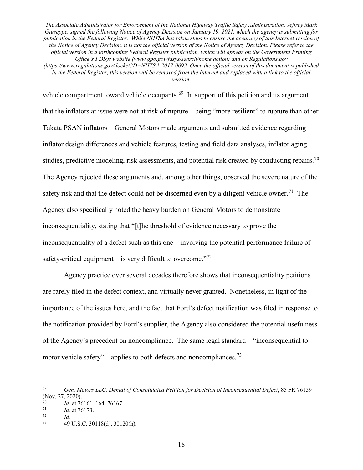*version.*

vehicle compartment toward vehicle occupants.<sup>69</sup> In support of this petition and its argument that the inflators at issue were not at risk of rupture—being "more resilient" to rupture than other Takata PSAN inflators—General Motors made arguments and submitted evidence regarding inflator design differences and vehicle features, testing and field data analyses, inflator aging studies, predictive modeling, risk assessments, and potential risk created by conducting repairs.<sup>70</sup> The Agency rejected these arguments and, among other things, observed the severe nature of the safety risk and that the defect could not be discerned even by a diligent vehicle owner.<sup>71</sup> The Agency also specifically noted the heavy burden on General Motors to demonstrate inconsequentiality, stating that "[t]he threshold of evidence necessary to prove the inconsequentiality of a defect such as this one—involving the potential performance failure of safety-critical equipment—is very difficult to overcome."<sup>72</sup>

Agency practice over several decades therefore shows that inconsequentiality petitions are rarely filed in the defect context, and virtually never granted. Nonetheless, in light of the importance of the issues here, and the fact that Ford's defect notification was filed in response to the notification provided by Ford's supplier, the Agency also considered the potential usefulness of the Agency's precedent on noncompliance. The same legal standard—"inconsequential to motor vehicle safety"—applies to both defects and noncompliances.73

 <sup>69</sup> *Gen. Motors LLC, Denial of Consolidated Petition for Decision of Inconsequential Defect*, 85 FR <sup>76159</sup> (Nov. 27, 2020).

 $\frac{70}{71}$  *Id.* at 76161–164, 76167.

 $\frac{71}{72}$  *Id.* at 76173.

 $\frac{72}{73}$  *Id.* 

<sup>73</sup> 49 U.S.C. 30118(d), 30120(h).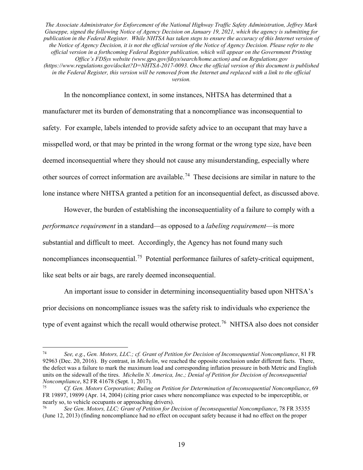In the noncompliance context, in some instances, NHTSA has determined that a manufacturer met its burden of demonstrating that a noncompliance was inconsequential to safety. For example, labels intended to provide safety advice to an occupant that may have a misspelled word, or that may be printed in the wrong format or the wrong type size, have been deemed inconsequential where they should not cause any misunderstanding, especially where other sources of correct information are available.74 These decisions are similar in nature to the lone instance where NHTSA granted a petition for an inconsequential defect, as discussed above.

However, the burden of establishing the inconsequentiality of a failure to comply with a *performance requirement* in a standard—as opposed to a *labeling requirement*—is more substantial and difficult to meet. Accordingly, the Agency has not found many such noncompliances inconsequential.<sup>75</sup> Potential performance failures of safety-critical equipment, like seat belts or air bags, are rarely deemed inconsequential.

An important issue to consider in determining inconsequentiality based upon NHTSA's prior decisions on noncompliance issues was the safety risk to individuals who experience the type of event against which the recall would otherwise protect.<sup>76</sup> NHTSA also does not consider

 <sup>74</sup> *See, e.g.*, *Gen. Motors, LLC.; cf. Grant of Petition for Decision of Inconsequential Noncompliance*, 81 FR 92963 (Dec. 20, 2016). By contrast, in *Michelin*, we reached the opposite conclusion under different facts. There, the defect was a failure to mark the maximum load and corresponding inflation pressure in both Metric and English units on the sidewall of the tires. *Michelin N. America, Inc.; Denial of Petition for Decision of Inconsequential Noncompliance*, 82 FR 41678 (Sept. 1, 2017).

<sup>75</sup> *Cf. Gen. Motors Corporation; Ruling on Petition for Determination of Inconsequential Noncompliance*, 69 FR 19897, 19899 (Apr. 14, 2004) (citing prior cases where noncompliance was expected to be imperceptible, or nearly so, to vehicle occupants or approaching drivers).

<sup>76</sup> *See Gen. Motors, LLC; Grant of Petition for Decision of Inconsequential Noncompliance*, 78 FR 35355 (June 12, 2013) (finding noncompliance had no effect on occupant safety because it had no effect on the proper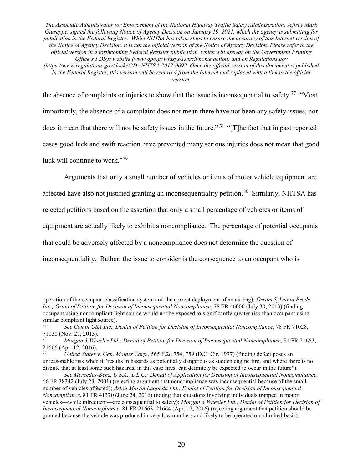*version.*

the absence of complaints or injuries to show that the issue is inconsequential to safety.<sup>77</sup> "Most" importantly, the absence of a complaint does not mean there have not been any safety issues, nor does it mean that there will not be safety issues in the future.<sup>"78</sup> "[T]he fact that in past reported cases good luck and swift reaction have prevented many serious injuries does not mean that good luck will continue to work."<sup>79</sup>

Arguments that only a small number of vehicles or items of motor vehicle equipment are affected have also not justified granting an inconsequentiality petition.<sup>80</sup> Similarly, NHTSA has rejected petitions based on the assertion that only a small percentage of vehicles or items of equipment are actually likely to exhibit a noncompliance. The percentage of potential occupants that could be adversely affected by a noncompliance does not determine the question of inconsequentiality. Rather, the issue to consider is the consequence to an occupant who is

 $\overline{a}$ 

operation of the occupant classification system and the correct deployment of an air bag); *Osram Sylvania Prods. Inc.; Grant of Petition for Decision of Inconsequential Noncompliance*, 78 FR 46000 (July 30, 2013) (finding occupant using noncompliant light source would not be exposed to significantly greater risk than occupant using similar compliant light source).

<sup>77</sup> *See Combi USA Inc., Denial of Petition for Decision of Inconsequential Noncompliance*, 78 FR 71028, 71030 (Nov. 27, 2013).

<sup>78</sup> *Morgan 3 Wheeler Ltd.; Denial of Petition for Decision of Inconsequential Noncompliance*, 81 FR 21663, 21666 (Apr. 12, 2016).

<sup>79</sup> *United States v. Gen. Motors Corp.*, 565 F.2d 754, 759 (D.C. Cir. 1977) (finding defect poses an unreasonable risk when it "results in hazards as potentially dangerous as sudden engine fire, and where there is no dispute that at least some such hazards, in this case fires, can definitely be expected to occur in the future").

<sup>80</sup> *See Mercedes-Benz, U.S.A., L.L.C.; Denial of Application for Decision of Inconsequential Noncompliance,* 66 FR 38342 (July 23, 2001) (rejecting argument that noncompliance was inconsequential because of the small number of vehicles affected); *Aston Martin Lagonda Ltd.; Denial of Petition for Decision of Inconsequential Noncompliance*, 81 FR 41370 (June 24, 2016) (noting that situations involving individuals trapped in motor vehicles—while infrequent—are consequential to safety); *Morgan 3 Wheeler Ltd.; Denial of Petition for Decision of Inconsequential Noncompliance*, 81 FR 21663, 21664 (Apr. 12, 2016) (rejecting argument that petition should be granted because the vehicle was produced in very low numbers and likely to be operated on a limited basis).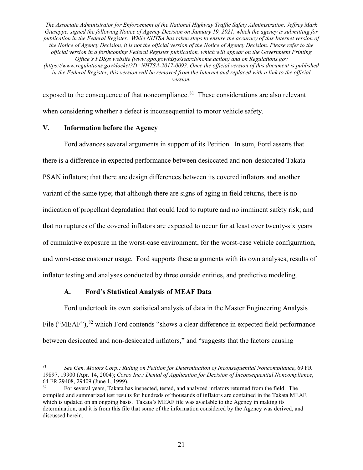exposed to the consequence of that noncompliance.<sup>81</sup> These considerations are also relevant when considering whether a defect is inconsequential to motor vehicle safety.

### **V. Information before the Agency**

Ford advances several arguments in support of its Petition. In sum, Ford asserts that there is a difference in expected performance between desiccated and non-desiccated Takata PSAN inflators; that there are design differences between its covered inflators and another variant of the same type; that although there are signs of aging in field returns, there is no indication of propellant degradation that could lead to rupture and no imminent safety risk; and that no ruptures of the covered inflators are expected to occur for at least over twenty-six years of cumulative exposure in the worst-case environment, for the worst-case vehicle configuration, and worst-case customer usage. Ford supports these arguments with its own analyses, results of inflator testing and analyses conducted by three outside entities, and predictive modeling.

### **A. Ford's Statistical Analysis of MEAF Data**

Ford undertook its own statistical analysis of data in the Master Engineering Analysis File ("MEAF"),<sup>82</sup> which Ford contends "shows a clear difference in expected field performance between desiccated and non-desiccated inflators," and "suggests that the factors causing

 <sup>81</sup> *See Gen. Motors Corp.; Ruling on Petition for Determination of Inconsequential Noncompliance*, 69 FR 19897, 19900 (Apr. 14, 2004); *Cosco Inc.; Denial of Application for Decision of Inconsequential Noncompliance*, 64 FR 29408, 29409 (June 1, 1999).

<sup>82</sup> For several years, Takata has inspected, tested, and analyzed inflators returned from the field. The compiled and summarized test results for hundreds of thousands of inflators are contained in the Takata MEAF, which is updated on an ongoing basis. Takata's MEAF file was available to the Agency in making its determination, and it is from this file that some of the information considered by the Agency was derived, and discussed herein.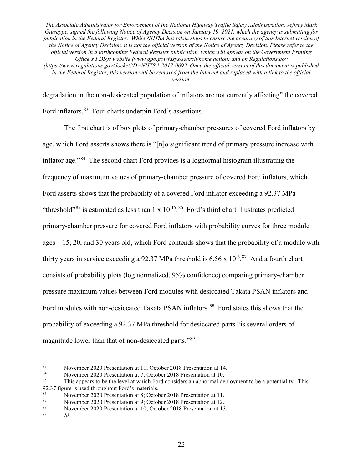degradation in the non-desiccated population of inflators are not currently affecting" the covered Ford inflators.<sup>83</sup> Four charts underpin Ford's assertions.

The first chart is of box plots of primary-chamber pressures of covered Ford inflators by age, which Ford asserts shows there is "[n]o significant trend of primary pressure increase with inflator age."84 The second chart Ford provides is a lognormal histogram illustrating the frequency of maximum values of primary-chamber pressure of covered Ford inflators, which Ford asserts shows that the probability of a covered Ford inflator exceeding a 92.37 MPa "threshold"<sup>85</sup> is estimated as less than  $1 \times 10^{-15}$ .<sup>86</sup> Ford's third chart illustrates predicted primary-chamber pressure for covered Ford inflators with probability curves for three module ages—15, 20, and 30 years old, which Ford contends shows that the probability of a module with thirty years in service exceeding a 92.37 MPa threshold is  $6.56 \times 10^{-6.87}$  And a fourth chart consists of probability plots (log normalized, 95% confidence) comparing primary-chamber pressure maximum values between Ford modules with desiccated Takata PSAN inflators and Ford modules with non-desiccated Takata PSAN inflators.<sup>88</sup> Ford states this shows that the probability of exceeding a 92.37 MPa threshold for desiccated parts "is several orders of magnitude lower than that of non-desiccated parts."<sup>89</sup>

<sup>83</sup> November 2020 Presentation at 11; October 2018 Presentation at 14.<br>November 2020 Presentation at 7: October 2018 Presentation at 10

<sup>84</sup> November 2020 Presentation at 7; October 2018 Presentation at 10.<br> $^{85}$  This annears to be the level at which Ford considers an abnormal de-

This appears to be the level at which Ford considers an abnormal deployment to be a potentiality. This 92.37 figure is used throughout Ford's materials.

<sup>86</sup> November 2020 Presentation at 8; October 2018 Presentation at 11.

<sup>87</sup> November 2020 Presentation at 9; October 2018 Presentation at 12.<br>88 November 2020 Presentation at 10: October 2018 Presentation at 13

<sup>&</sup>lt;sup>88</sup> November 2020 Presentation at 10; October 2018 Presentation at 13.<br> $\frac{89}{64}$ 

*Id.*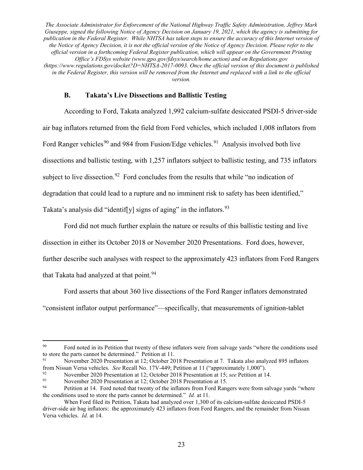#### **B. Takata's Live Dissections and Ballistic Testing**

According to Ford, Takata analyzed 1,992 calcium-sulfate desiccated PSDI-5 driver-side air bag inflators returned from the field from Ford vehicles, which included 1,008 inflators from Ford Ranger vehicles<sup>90</sup> and 984 from Fusion/Edge vehicles.<sup>91</sup> Analysis involved both live dissections and ballistic testing, with 1,257 inflators subject to ballistic testing, and 735 inflators subject to live dissection.<sup>92</sup> Ford concludes from the results that while "no indication of degradation that could lead to a rupture and no imminent risk to safety has been identified," Takata's analysis did "identif[y] signs of aging" in the inflators.  $93$ 

Ford did not much further explain the nature or results of this ballistic testing and live

dissection in either its October 2018 or November 2020 Presentations. Ford does, however,

further describe such analyses with respect to the approximately 423 inflators from Ford Rangers

that Takata had analyzed at that point.<sup>94</sup>

Ford asserts that about 360 live dissections of the Ford Ranger inflators demonstrated

"consistent inflator output performance"—specifically, that measurements of ignition-tablet

<sup>91</sup> November 2020 Presentation at 12; October 2018 Presentation at 7. Takata also analyzed 895 inflators from Nissan Versa vehicles. *See* Recall No. 17V-449; Petition at 11 ("approximately 1,000").

<sup>&</sup>lt;sup>90</sup> Ford noted in its Petition that twenty of these inflators were from salvage yards "where the conditions used to store the parts cannot be determined." Petition at 11.

<sup>92</sup> November 2020 Presentation at 12; October 2018 Presentation at 15; *see* Petition at 14.

<sup>&</sup>lt;sup>93</sup><br>November 2020 Presentation at 12; October 2018 Presentation at 15.<br>Peritian at 14. Ford poted that twenty of the inflators from Eord Ponce

Petition at 14. Ford noted that twenty of the inflators from Ford Rangers were from salvage yards "where the conditions used to store the parts cannot be determined." *Id.* at 11.

When Ford filed its Petition, Takata had analyzed over 1,300 of its calcium-sulfate desiccated PSDI-5 driver-side air bag inflators: the approximately 423 inflators from Ford Rangers, and the remainder from Nissan Versa vehicles. *Id.* at 14.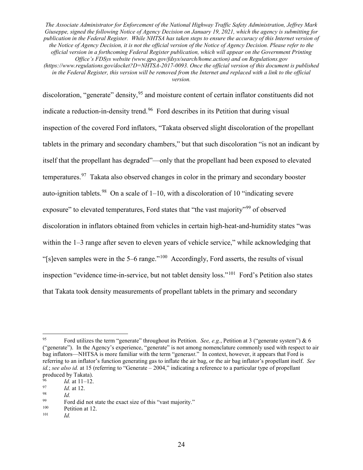discoloration, "generate" density, <sup>95</sup> and moisture content of certain inflator constituents did not indicate a reduction-in-density trend.<sup>96</sup> Ford describes in its Petition that during visual inspection of the covered Ford inflators, "Takata observed slight discoloration of the propellant tablets in the primary and secondary chambers," but that such discoloration "is not an indicant by itself that the propellant has degraded"—only that the propellant had been exposed to elevated temperatures.<sup>97</sup> Takata also observed changes in color in the primary and secondary booster auto-ignition tablets.<sup>98</sup> On a scale of  $1-10$ , with a discoloration of 10 "indicating severe exposure" to elevated temperatures, Ford states that "the vast majority"<sup>99</sup> of observed discoloration in inflators obtained from vehicles in certain high-heat-and-humidity states "was within the 1–3 range after seven to eleven years of vehicle service," while acknowledging that "[s]even samples were in the 5–6 range."100 Accordingly, Ford asserts, the results of visual inspection "evidence time-in-service, but not tablet density loss."101 Ford's Petition also states that Takata took density measurements of propellant tablets in the primary and secondary

 <sup>95</sup> Ford utilizes the term "generate" throughout its Petition. *See, e.g.*, Petition at 3 ("generate system") & 6 ("generate"). In the Agency's experience, "generate" is not among nomenclature commonly used with respect to air bag inflators—NHTSA is more familiar with the term "genera*nt*." In context, however, it appears that Ford is referring to an inflator's function generating gas to inflate the air bag, or the air bag inflator's propellant itself. *See id.*; *see also id.* at 15 (referring to "Generate – 2004," indicating a reference to a particular type of propellant produced by Takata).<br> $\frac{1}{4}$  at 11 12

 $\frac{96}{97}$  *Id.* at 11–12.

 $\frac{97}{98}$  *Id.* at 12.

Ford did not state the exact size of this "vast majority."<br>
Petition at 12.<br>  $\frac{100}{L}$ 

*Id.*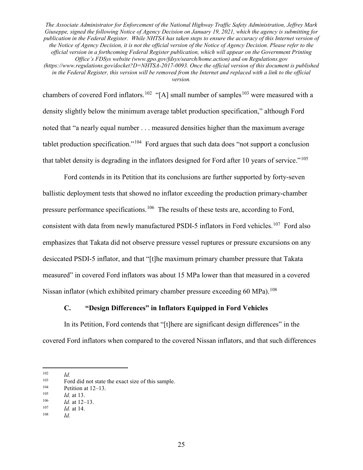chambers of covered Ford inflators.<sup>102</sup> "[A] small number of samples<sup>103</sup> were measured with a density slightly below the minimum average tablet production specification," although Ford noted that "a nearly equal number . . . measured densities higher than the maximum average tablet production specification."<sup>104</sup> Ford argues that such data does "not support a conclusion that tablet density is degrading in the inflators designed for Ford after 10 years of service."<sup>105</sup>

Ford contends in its Petition that its conclusions are further supported by forty-seven ballistic deployment tests that showed no inflator exceeding the production primary-chamber pressure performance specifications.<sup>106</sup> The results of these tests are, according to Ford, consistent with data from newly manufactured PSDI-5 inflators in Ford vehicles.<sup>107</sup> Ford also emphasizes that Takata did not observe pressure vessel ruptures or pressure excursions on any desiccated PSDI-5 inflator, and that "[t]he maximum primary chamber pressure that Takata measured" in covered Ford inflators was about 15 MPa lower than that measured in a covered Nissan inflator (which exhibited primary chamber pressure exceeding  $60 \text{ MPa}$ ).<sup>108</sup>

# **C. "Design Differences" in Inflators Equipped in Ford Vehicles**

In its Petition, Ford contends that "[t]here are significant design differences" in the covered Ford inflators when compared to the covered Nissan inflators, and that such differences

102 *Id.*

<sup>&</sup>lt;sup>103</sup> Ford did not state the exact size of this sample.<br> $\frac{104}{P}$  Petition at 12, 13

 $^{104}$  Petition at 12–13.<br>  $^{105}$  *Id at* 13

 $\frac{105}{106}$  *Id.* at 13.

 $\frac{106}{107}$  *Id.* at 12–13.

 $\frac{107}{108}$  *Id.* at 14.

*Id.*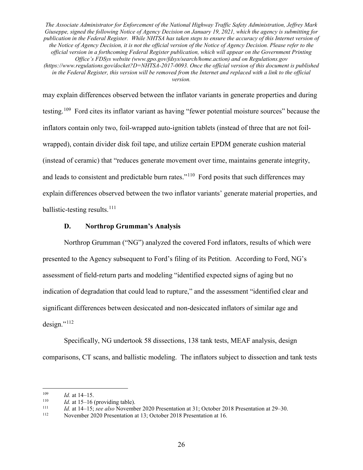may explain differences observed between the inflator variants in generate properties and during testing.109 Ford cites its inflator variant as having "fewer potential moisture sources" because the inflators contain only two, foil-wrapped auto-ignition tablets (instead of three that are not foilwrapped), contain divider disk foil tape, and utilize certain EPDM generate cushion material (instead of ceramic) that "reduces generate movement over time, maintains generate integrity, and leads to consistent and predictable burn rates."<sup>110</sup> Ford posits that such differences may explain differences observed between the two inflator variants' generate material properties, and ballistic-testing results. $^{111}$ 

### **D. Northrop Grumman's Analysis**

Northrop Grumman ("NG") analyzed the covered Ford inflators, results of which were presented to the Agency subsequent to Ford's filing of its Petition. According to Ford, NG's assessment of field-return parts and modeling "identified expected signs of aging but no indication of degradation that could lead to rupture," and the assessment "identified clear and significant differences between desiccated and non-desiccated inflators of similar age and  $design.$ "<sup>112</sup>

Specifically, NG undertook 58 dissections, 138 tank tests, MEAF analysis, design comparisons, CT scans, and ballistic modeling. The inflators subject to dissection and tank tests

 $\frac{109}{110}$  *Id.* at 14–15.

<sup>&</sup>lt;sup>110</sup> *Id.* at 15–16 (providing table).<br><sup>111</sup> *Id.* at 14–15; see also Novemb

<sup>111</sup> *Id.* at 14–15; *see also* November 2020 Presentation at 31; October 2018 Presentation at 29–30.<br>
November 2020 Presentation at 13: October 2018 Presentation at 16

November 2020 Presentation at 13; October 2018 Presentation at 16.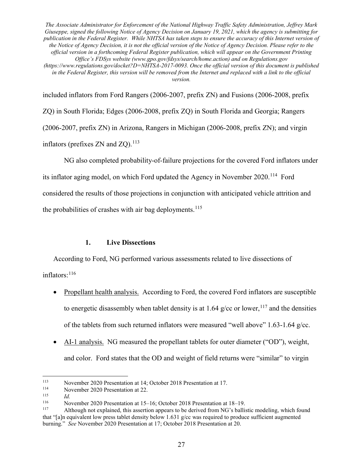included inflators from Ford Rangers (2006-2007, prefix ZN) and Fusions (2006-2008, prefix ZQ) in South Florida; Edges (2006-2008, prefix ZQ) in South Florida and Georgia; Rangers (2006-2007, prefix ZN) in Arizona, Rangers in Michigan (2006-2008, prefix ZN); and virgin inflators (prefixes  $ZN$  and  $ZO$ ).<sup>113</sup>

NG also completed probability-of-failure projections for the covered Ford inflators under its inflator aging model, on which Ford updated the Agency in November 2020.<sup>114</sup> Ford considered the results of those projections in conjunction with anticipated vehicle attrition and the probabilities of crashes with air bag deployments.<sup>115</sup>

### **1. Live Dissections**

According to Ford, NG performed various assessments related to live dissections of inflators: 116

- Propellant health analysis. According to Ford, the covered Ford inflators are susceptible to energetic disassembly when tablet density is at 1.64 g/cc or lower, <sup>117</sup> and the densities of the tablets from such returned inflators were measured "well above" 1.63-1.64 g/cc.
- AI-1 analysis. NG measured the propellant tablets for outer diameter ("OD"), weight, and color. Ford states that the OD and weight of field returns were "similar" to virgin

<sup>113</sup> November 2020 Presentation at 14; October 2018 Presentation at 17.<br>114 November 2020 Presentation at 22

<sup>&</sup>lt;sup>114</sup> November 2020 Presentation at 22.

 $\frac{115}{116}$  *Id.* 

<sup>&</sup>lt;sup>116</sup> November 2020 Presentation at 15–16; October 2018 Presentation at 18–19.<br><sup>117</sup> Although not explained, this assertion appears to be derived from NG's ballis

Although not explained, this assertion appears to be derived from NG's ballistic modeling, which found that "[a]n equivalent low press tablet density below 1.631 g/cc was required to produce sufficient augmented burning." *See* November 2020 Presentation at 17; October 2018 Presentation at 20.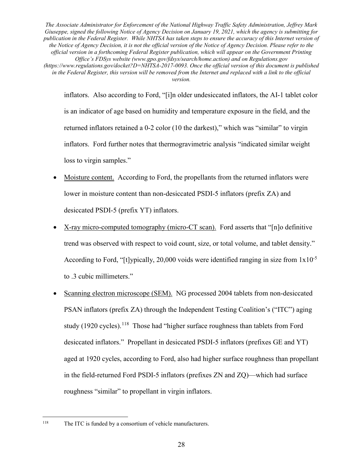inflators. Also according to Ford, "[i]n older undesiccated inflators, the AI-1 tablet color is an indicator of age based on humidity and temperature exposure in the field, and the returned inflators retained a 0-2 color (10 the darkest)," which was "similar" to virgin inflators. Ford further notes that thermogravimetric analysis "indicated similar weight loss to virgin samples."

- Moisture content. According to Ford, the propellants from the returned inflators were lower in moisture content than non-desiccated PSDI-5 inflators (prefix ZA) and desiccated PSDI-5 (prefix YT) inflators.
- X-ray micro-computed tomography (micro-CT scan). Ford asserts that "[n]o definitive trend was observed with respect to void count, size, or total volume, and tablet density." According to Ford, "[t]ypically, 20,000 voids were identified ranging in size from  $1x10^{-5}$ to .3 cubic millimeters."
- Scanning electron microscope (SEM). NG processed 2004 tablets from non-desiccated PSAN inflators (prefix ZA) through the Independent Testing Coalition's ("ITC") aging study (1920 cycles).<sup>118</sup> Those had "higher surface roughness than tablets from Ford desiccated inflators." Propellant in desiccated PSDI-5 inflators (prefixes GE and YT) aged at 1920 cycles, according to Ford, also had higher surface roughness than propellant in the field-returned Ford PSDI-5 inflators (prefixes ZN and ZQ)—which had surface roughness "similar" to propellant in virgin inflators.

 <sup>118</sup> The ITC is funded by a consortium of vehicle manufacturers.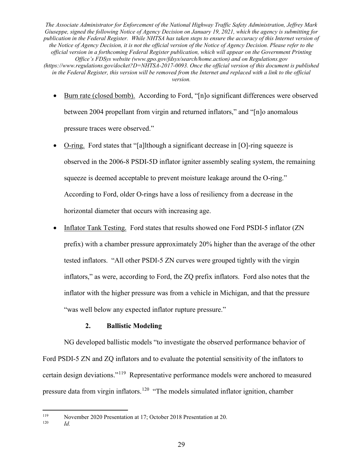- Burn rate (closed bomb). According to Ford, "[n]o significant differences were observed between 2004 propellant from virgin and returned inflators," and "[n]o anomalous pressure traces were observed."
- O-ring. Ford states that "[a]lthough a significant decrease in [O]-ring squeeze is observed in the 2006-8 PSDI-5D inflator igniter assembly sealing system, the remaining squeeze is deemed acceptable to prevent moisture leakage around the O-ring." According to Ford, older O-rings have a loss of resiliency from a decrease in the horizontal diameter that occurs with increasing age.
- Inflator Tank Testing. Ford states that results showed one Ford PSDI-5 inflator (ZN prefix) with a chamber pressure approximately 20% higher than the average of the other tested inflators. "All other PSDI-5 ZN curves were grouped tightly with the virgin inflators," as were, according to Ford, the ZQ prefix inflators. Ford also notes that the inflator with the higher pressure was from a vehicle in Michigan, and that the pressure "was well below any expected inflator rupture pressure."

### **2. Ballistic Modeling**

NG developed ballistic models "to investigate the observed performance behavior of Ford PSDI-5 ZN and ZQ inflators and to evaluate the potential sensitivity of the inflators to certain design deviations."119 Representative performance models were anchored to measured pressure data from virgin inflators.<sup>120</sup> "The models simulated inflator ignition, chamber

<sup>&</sup>lt;sup>119</sup> November 2020 Presentation at 17; October 2018 Presentation at 20.

*Id.*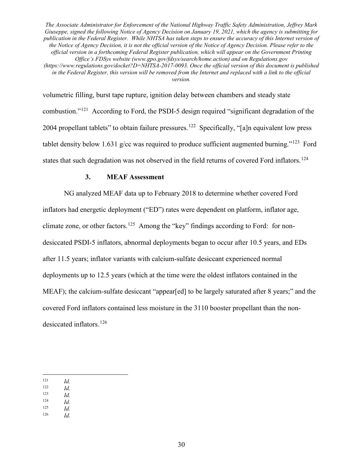volumetric filling, burst tape rupture, ignition delay between chambers and steady state combustion."121 According to Ford, the PSDI-5 design required "significant degradation of the 2004 propellant tablets" to obtain failure pressures.<sup>122</sup> Specifically, "[a]n equivalent low press tablet density below 1.631 g/cc was required to produce sufficient augmented burning."<sup>123</sup> Ford states that such degradation was not observed in the field returns of covered Ford inflators.<sup>124</sup>

### **3. MEAF Assessment**

NG analyzed MEAF data up to February 2018 to determine whether covered Ford inflators had energetic deployment ("ED") rates were dependent on platform, inflator age, climate zone, or other factors.<sup>125</sup> Among the "key" findings according to Ford: for nondesiccated PSDI-5 inflators, abnormal deployments began to occur after 10.5 years, and EDs after 11.5 years; inflator variants with calcium-sulfate desiccant experienced normal deployments up to 12.5 years (which at the time were the oldest inflators contained in the MEAF); the calcium-sulfate desiccant "appear[ed] to be largely saturated after 8 years;" and the covered Ford inflators contained less moisture in the 3110 booster propellant than the nondesiccated inflators.<sup>126</sup>

- $\frac{122}{123}$  *Id.*
- $\frac{123}{124}$  *Id.*
- $\frac{124}{125}$  *Id.*
- $\frac{125}{126}$  *Id. Id.*

 $\frac{121}{122}$  *Id.*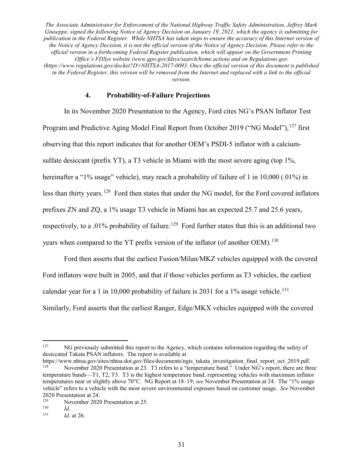### **4. Probability-of-Failure Projections**

In its November 2020 Presentation to the Agency, Ford cites NG's PSAN Inflator Test Program and Predictive Aging Model Final Report from October 2019 ("NG Model"), <sup>127</sup> first observing that this report indicates that for another OEM's PSDI-5 inflator with a calciumsulfate desiccant (prefix YT), a T3 vehicle in Miami with the most severe aging (top 1%, hereinafter a "1% usage" vehicle), may reach a probability of failure of 1 in 10,000 (.01%) in less than thirty years.128 Ford then states that under the NG model, for the Ford covered inflators prefixes ZN and ZQ, a 1% usage T3 vehicle in Miami has an expected 25.7 and 25.6 years, respectively, to a .01% probability of failure.<sup>129</sup> Ford further states that this is an additional two years when compared to the YT prefix version of the inflator (of another OEM).<sup>130</sup>

Ford then asserts that the earliest Fusion/Milan/MKZ vehicles equipped with the covered Ford inflators were built in 2005, and that if those vehicles perform as T3 vehicles, the earliest calendar year for a 1 in 10,000 probability of failure is 2031 for a 1% usage vehicle.<sup>131</sup> Similarly, Ford asserts that the earliest Ranger, Edge/MKX vehicles equipped with the covered

<sup>&</sup>lt;sup>127</sup> NG previously submitted this report to the Agency, which contains information regarding the safety of desiccated Takata PSAN inflators. The report is available at

https://www.nhtsa.gov/sites/nhtsa.dot.gov/files/documents/ngis\_takata\_investigation\_final\_report\_oct\_2019.pdf.<br><sup>128</sup> November 2020 Bessertation at 22. T3 refers to a "temperature hand." Under NG's generat there are the November 2020 Presentation at 23. T3 refers to a "temperature band." Under NG's report, there are three temperature bands—T1, T2, T3. T3 is the highest temperature band, representing vehicles with maximum inflator temperatures near or slightly above 70°C. NG Report at 18–19; *see* November Presentation at 24. The "1% usage vehicle" refers to a vehicle with the most severe environmental exposure based on customer usage. *See* November 2020 Presentation at 24.<br>
November 2020

<sup>&</sup>lt;sup>129</sup> November 2020 Presentation at 25.<br> $\frac{130}{14}$ 

 $\frac{130}{131}$  *Id.* 

*Id.* at 26.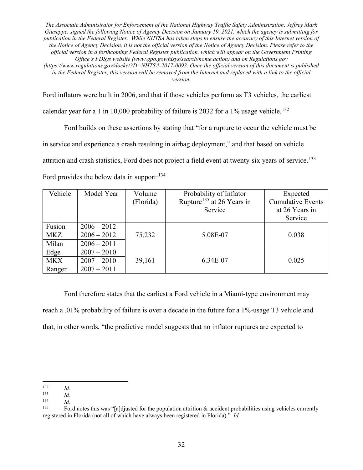Ford inflators were built in 2006, and that if those vehicles perform as T3 vehicles, the earliest

calendar year for a 1 in 10,000 probability of failure is 2032 for a 1% usage vehicle.<sup>132</sup>

Ford builds on these assertions by stating that "for a rupture to occur the vehicle must be in service and experience a crash resulting in airbag deployment," and that based on vehicle attrition and crash statistics, Ford does not project a field event at twenty-six years of service.<sup>133</sup> Ford provides the below data in support:  $134$ 

| Vehicle    | Model Year    | Volume<br>(Florida) | Probability of Inflator<br>Rupture <sup>135</sup> at 26 Years in | Expected<br><b>Cumulative Events</b> |
|------------|---------------|---------------------|------------------------------------------------------------------|--------------------------------------|
|            |               |                     | Service                                                          | at 26 Years in<br>Service            |
| Fusion     | $2006 - 2012$ |                     |                                                                  |                                      |
| <b>MKZ</b> | $2006 - 2012$ | 75,232              | 5.08E-07                                                         | 0.038                                |
| Milan      | $2006 - 2011$ |                     |                                                                  |                                      |
| Edge       | $2007 - 2010$ |                     |                                                                  |                                      |
| <b>MKX</b> | $2007 - 2010$ | 39,161              | 6.34E-07                                                         | 0.025                                |
| Ranger     | $2007 - 2011$ |                     |                                                                  |                                      |

Ford therefore states that the earliest a Ford vehicle in a Miami-type environment may reach a .01% probability of failure is over a decade in the future for a 1%-usage T3 vehicle and that, in other words, "the predictive model suggests that no inflator ruptures are expected to

 $\frac{132}{133}$  *Id.* 

 $\frac{133}{134}$  *Id.* 

 $\frac{134}{135}$  *Id.* 

Ford notes this was "[a]djusted for the population attrition  $\&$  accident probabilities using vehicles currently registered in Florida (not all of which have always been registered in Florida)." *Id.*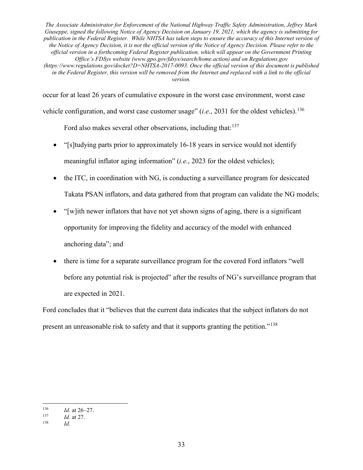occur for at least 26 years of cumulative exposure in the worst case environment, worst case vehicle configuration, and worst case customer usage" (*i.e.*, 2031 for the oldest vehicles).<sup>136</sup>

Ford also makes several other observations, including that:  $137$ 

- "[s]tudying parts prior to approximately 16-18 years in service would not identify meaningful inflator aging information" (*i.e.*, 2023 for the oldest vehicles);
- the ITC, in coordination with NG, is conducting a surveillance program for desiccated Takata PSAN inflators, and data gathered from that program can validate the NG models;
- "[w]ith newer inflators that have not yet shown signs of aging, there is a significant opportunity for improving the fidelity and accuracy of the model with enhanced anchoring data"; and
- there is time for a separate surveillance program for the covered Ford inflators "well before any potential risk is projected" after the results of NG's surveillance program that are expected in 2021.

Ford concludes that it "believes that the current data indicates that the subject inflators do not present an unreasonable risk to safety and that it supports granting the petition."<sup>138</sup>

 $\frac{136}{137}$  *Id.* at 26–27.

 $\frac{137}{138}$  *Id.* at 27.

<sup>138</sup> *Id.*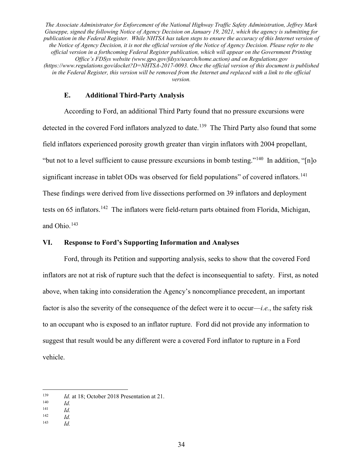#### **E. Additional Third-Party Analysis**

According to Ford, an additional Third Party found that no pressure excursions were detected in the covered Ford inflators analyzed to date.<sup>139</sup> The Third Party also found that some field inflators experienced porosity growth greater than virgin inflators with 2004 propellant, "but not to a level sufficient to cause pressure excursions in bomb testing."<sup>140</sup> In addition, " $[n]$ <sup>o</sup> significant increase in tablet ODs was observed for field populations" of covered inflators.<sup>141</sup> These findings were derived from live dissections performed on 39 inflators and deployment tests on 65 inflators.<sup>142</sup> The inflators were field-return parts obtained from Florida, Michigan, and Ohio.<sup>143</sup>

## **VI. Response to Ford's Supporting Information and Analyses**

Ford, through its Petition and supporting analysis, seeks to show that the covered Ford inflators are not at risk of rupture such that the defect is inconsequential to safety. First, as noted above, when taking into consideration the Agency's noncompliance precedent, an important factor is also the severity of the consequence of the defect were it to occur—*i.e.*, the safety risk to an occupant who is exposed to an inflator rupture. Ford did not provide any information to suggest that result would be any different were a covered Ford inflator to rupture in a Ford vehicle.

<sup>143</sup> *Id.*

<sup>&</sup>lt;sup>139</sup> *Id.* at 18; October 2018 Presentation at 21.

 $\frac{140}{141}$  *Id.* 

 $\frac{141}{142}$  *Id.* 

 $\frac{142}{143}$  *Id.*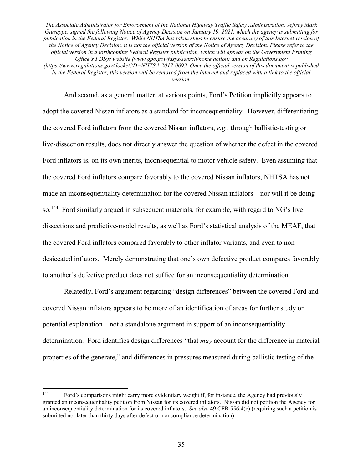And second, as a general matter, at various points, Ford's Petition implicitly appears to adopt the covered Nissan inflators as a standard for inconsequentiality. However, differentiating the covered Ford inflators from the covered Nissan inflators, *e.g.*, through ballistic-testing or live-dissection results, does not directly answer the question of whether the defect in the covered Ford inflators is, on its own merits, inconsequential to motor vehicle safety. Even assuming that the covered Ford inflators compare favorably to the covered Nissan inflators, NHTSA has not made an inconsequentiality determination for the covered Nissan inflators—nor will it be doing so.<sup>144</sup> Ford similarly argued in subsequent materials, for example, with regard to NG's live dissections and predictive-model results, as well as Ford's statistical analysis of the MEAF, that the covered Ford inflators compared favorably to other inflator variants, and even to nondesiccated inflators. Merely demonstrating that one's own defective product compares favorably to another's defective product does not suffice for an inconsequentiality determination.

Relatedly, Ford's argument regarding "design differences" between the covered Ford and covered Nissan inflators appears to be more of an identification of areas for further study or potential explanation—not a standalone argument in support of an inconsequentiality determination. Ford identifies design differences "that *may* account for the difference in material properties of the generate," and differences in pressures measured during ballistic testing of the

 <sup>144</sup> Ford's comparisons might carry more evidentiary weight if, for instance, the Agency had previously granted an inconsequentiality petition from Nissan for its covered inflators. Nissan did not petition the Agency for an inconsequentiality determination for its covered inflators. *See also* 49 CFR 556.4(c) (requiring such a petition is submitted not later than thirty days after defect or noncompliance determination).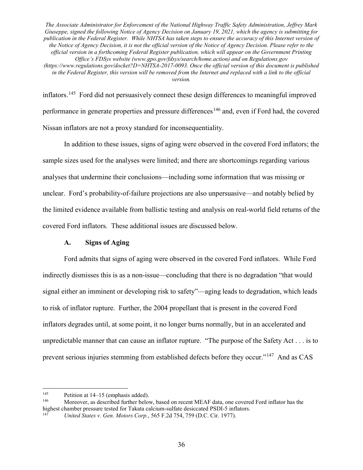inflators.145 Ford did not persuasively connect these design differences to meaningful improved performance in generate properties and pressure differences<sup>146</sup> and, even if Ford had, the covered Nissan inflators are not a proxy standard for inconsequentiality.

In addition to these issues, signs of aging were observed in the covered Ford inflators; the sample sizes used for the analyses were limited; and there are shortcomings regarding various analyses that undermine their conclusions—including some information that was missing or unclear. Ford's probability-of-failure projections are also unpersuasive—and notably belied by the limited evidence available from ballistic testing and analysis on real-world field returns of the covered Ford inflators. These additional issues are discussed below.

# **A. Signs of Aging**

Ford admits that signs of aging were observed in the covered Ford inflators. While Ford indirectly dismisses this is as a non-issue—concluding that there is no degradation "that would signal either an imminent or developing risk to safety"—aging leads to degradation, which leads to risk of inflator rupture. Further, the 2004 propellant that is present in the covered Ford inflators degrades until, at some point, it no longer burns normally, but in an accelerated and unpredictable manner that can cause an inflator rupture. "The purpose of the Safety Act . . . is to prevent serious injuries stemming from established defects before they occur."<sup>147</sup> And as CAS

<sup>&</sup>lt;sup>145</sup> Petition at 14–15 (emphasis added).<br><sup>146</sup> Moreover, as described further below, based on recent MEAF data, one covered Ford inflator has the highest chamber pressure tested for Takata calcium-sulfate desiccated PSDI-5 inflators.

<sup>147</sup> *United States v. Gen. Motors Corp.*, 565 F.2d 754, 759 (D.C. Cir. 1977).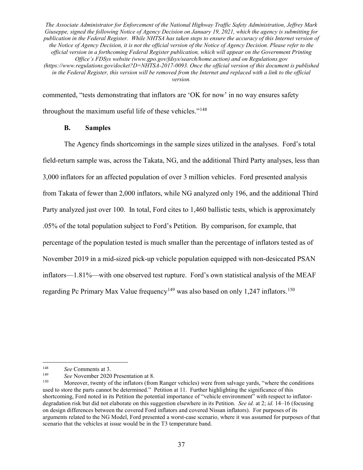commented, "tests demonstrating that inflators are 'OK for now' in no way ensures safety throughout the maximum useful life of these vehicles."<sup>148</sup>

## **B. Samples**

The Agency finds shortcomings in the sample sizes utilized in the analyses. Ford's total field-return sample was, across the Takata, NG, and the additional Third Party analyses, less than 3,000 inflators for an affected population of over 3 million vehicles. Ford presented analysis from Takata of fewer than 2,000 inflators, while NG analyzed only 196, and the additional Third Party analyzed just over 100. In total, Ford cites to 1,460 ballistic tests, which is approximately .05% of the total population subject to Ford's Petition. By comparison, for example, that percentage of the population tested is much smaller than the percentage of inflators tested as of November 2019 in a mid-sized pick-up vehicle population equipped with non-desiccated PSAN inflators—1.81%—with one observed test rupture. Ford's own statistical analysis of the MEAF regarding Pc Primary Max Value frequency<sup>149</sup> was also based on only 1,247 inflators.<sup>150</sup>

 <sup>148</sup> *See* Comments at 3.

<sup>149</sup> *See* November 2020 Presentation at 8.

Moreover, twenty of the inflators (from Ranger vehicles) were from salvage yards, "where the conditions used to store the parts cannot be determined." Petition at 11. Further highlighting the significance of this shortcoming, Ford noted in its Petition the potential importance of "vehicle environment" with respect to inflatordegradation risk but did not elaborate on this suggestion elsewhere in its Petition. *See id.* at 2; *id.* 14–16 (focusing on design differences between the covered Ford inflators and covered Nissan inflators). For purposes of its arguments related to the NG Model, Ford presented a worst-case scenario, where it was assumed for purposes of that scenario that the vehicles at issue would be in the T3 temperature band.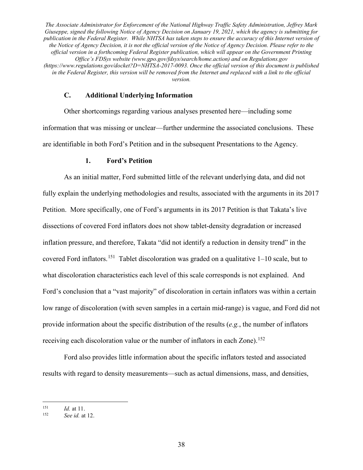#### **C. Additional Underlying Information**

Other shortcomings regarding various analyses presented here—including some information that was missing or unclear—further undermine the associated conclusions. These are identifiable in both Ford's Petition and in the subsequent Presentations to the Agency.

### **1. Ford's Petition**

As an initial matter, Ford submitted little of the relevant underlying data, and did not fully explain the underlying methodologies and results, associated with the arguments in its 2017 Petition. More specifically, one of Ford's arguments in its 2017 Petition is that Takata's live dissections of covered Ford inflators does not show tablet-density degradation or increased inflation pressure, and therefore, Takata "did not identify a reduction in density trend" in the covered Ford inflators.<sup>151</sup> Tablet discoloration was graded on a qualitative  $1-10$  scale, but to what discoloration characteristics each level of this scale corresponds is not explained. And Ford's conclusion that a "vast majority" of discoloration in certain inflators was within a certain low range of discoloration (with seven samples in a certain mid-range) is vague, and Ford did not provide information about the specific distribution of the results (*e.g.*, the number of inflators receiving each discoloration value or the number of inflators in each Zone).<sup>152</sup>

Ford also provides little information about the specific inflators tested and associated results with regard to density measurements—such as actual dimensions, mass, and densities,

 $151$  *Id.* at 11.<br> $152$  *See id at* 

<sup>152</sup> *See id.* at 12.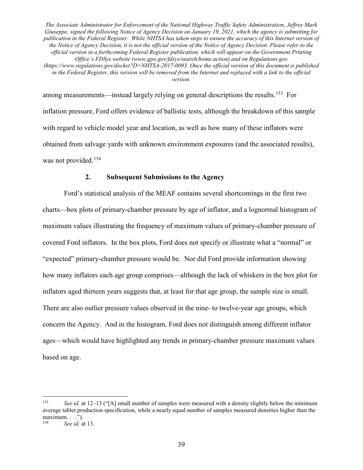among measurements—instead largely relying on general descriptions the results.<sup>153</sup> For inflation pressure, Ford offers evidence of ballistic tests, although the breakdown of this sample with regard to vehicle model year and location, as well as how many of these inflators were obtained from salvage yards with unknown environment exposures (and the associated results), was not provided.<sup>154</sup>

### **2. Subsequent Submissions to the Agency**

Ford's statistical analysis of the MEAF contains several shortcomings in the first two charts—box plots of primary-chamber pressure by age of inflator, and a lognormal histogram of maximum values illustrating the frequency of maximum values of primary-chamber pressure of covered Ford inflators. In the box plots, Ford does not specify or illustrate what a "normal" or "expected" primary-chamber pressure would be. Nor did Ford provide information showing how many inflators each age group comprises—although the lack of whiskers in the box plot for inflators aged thirteen years suggests that, at least for that age group, the sample size is small. There are also outlier pressure values observed in the nine- to twelve-year age groups, which concern the Agency. And in the histogram, Ford does not distinguish among different inflator ages—which would have highlighted any trends in primary-chamber pressure maximum values based on age.

 <sup>153</sup> *See id.* at 12–13 ("[A] small number of samples were measured with a density slightly below the minimum average tablet production specification, while a nearly equal number of samples measured densities higher than the maximum.  $\ldots$ ").<br><sup>154</sup> See id. 3

See id. at 13.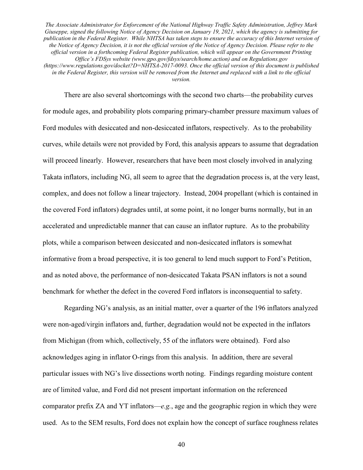There are also several shortcomings with the second two charts—the probability curves for module ages, and probability plots comparing primary-chamber pressure maximum values of Ford modules with desiccated and non-desiccated inflators, respectively. As to the probability curves, while details were not provided by Ford, this analysis appears to assume that degradation will proceed linearly. However, researchers that have been most closely involved in analyzing Takata inflators, including NG, all seem to agree that the degradation process is, at the very least, complex, and does not follow a linear trajectory. Instead, 2004 propellant (which is contained in the covered Ford inflators) degrades until, at some point, it no longer burns normally, but in an accelerated and unpredictable manner that can cause an inflator rupture. As to the probability plots, while a comparison between desiccated and non-desiccated inflators is somewhat informative from a broad perspective, it is too general to lend much support to Ford's Petition, and as noted above, the performance of non-desiccated Takata PSAN inflators is not a sound benchmark for whether the defect in the covered Ford inflators is inconsequential to safety.

Regarding NG's analysis, as an initial matter, over a quarter of the 196 inflators analyzed were non-aged/virgin inflators and, further, degradation would not be expected in the inflators from Michigan (from which, collectively, 55 of the inflators were obtained). Ford also acknowledges aging in inflator O-rings from this analysis. In addition, there are several particular issues with NG's live dissections worth noting. Findings regarding moisture content are of limited value, and Ford did not present important information on the referenced comparator prefix ZA and YT inflators—*e.g.*, age and the geographic region in which they were used. As to the SEM results, Ford does not explain how the concept of surface roughness relates

40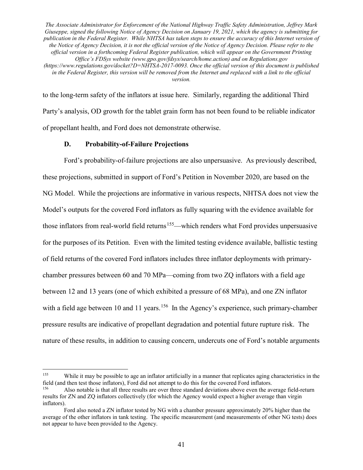to the long-term safety of the inflators at issue here. Similarly, regarding the additional Third Party's analysis, OD growth for the tablet grain form has not been found to be reliable indicator of propellant health, and Ford does not demonstrate otherwise.

### **D. Probability-of-Failure Projections**

Ford's probability-of-failure projections are also unpersuasive. As previously described, these projections, submitted in support of Ford's Petition in November 2020, are based on the NG Model. While the projections are informative in various respects, NHTSA does not view the Model's outputs for the covered Ford inflators as fully squaring with the evidence available for those inflators from real-world field returns<sup>155</sup>—which renders what Ford provides unpersuasive for the purposes of its Petition. Even with the limited testing evidence available, ballistic testing of field returns of the covered Ford inflators includes three inflator deployments with primarychamber pressures between 60 and 70 MPa—coming from two ZQ inflators with a field age between 12 and 13 years (one of which exhibited a pressure of 68 MPa), and one ZN inflator with a field age between 10 and 11 years.<sup>156</sup> In the Agency's experience, such primary-chamber pressure results are indicative of propellant degradation and potential future rupture risk. The nature of these results, in addition to causing concern, undercuts one of Ford's notable arguments

<sup>&</sup>lt;sup>155</sup> While it may be possible to age an inflator artificially in a manner that replicates aging characteristics in the field (and then test those inflators), Ford did not attempt to do this for the covered Ford inflators.

<sup>156</sup> Also notable is that all three results are over three standard deviations above even the average field-return results for ZN and ZQ inflators collectively (for which the Agency would expect a higher average than virgin inflators).

Ford also noted a ZN inflator tested by NG with a chamber pressure approximately 20% higher than the average of the other inflators in tank testing. The specific measurement (and measurements of other NG tests) does not appear to have been provided to the Agency.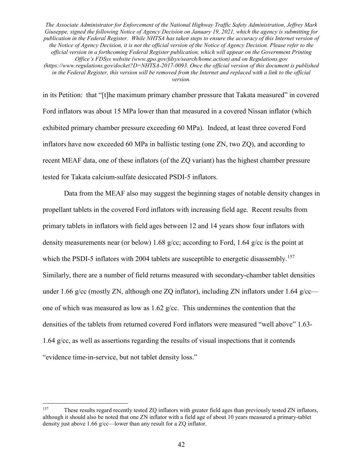*version.*

in its Petition: that "[t]he maximum primary chamber pressure that Takata measured" in covered Ford inflators was about 15 MPa lower than that measured in a covered Nissan inflator (which exhibited primary chamber pressure exceeding 60 MPa). Indeed, at least three covered Ford inflators have now exceeded 60 MPa in ballistic testing (one ZN, two ZQ), and according to recent MEAF data, one of these inflators (of the ZQ variant) has the highest chamber pressure tested for Takata calcium-sulfate desiccated PSDI-5 inflators.

Data from the MEAF also may suggest the beginning stages of notable density changes in propellant tablets in the covered Ford inflators with increasing field age. Recent results from primary tablets in inflators with field ages between 12 and 14 years show four inflators with density measurements near (or below) 1.68 g/cc; according to Ford, 1.64 g/cc is the point at which the PSDI-5 inflators with 2004 tablets are susceptible to energetic disassembly.<sup>157</sup> Similarly, there are a number of field returns measured with secondary-chamber tablet densities under 1.66 g/cc (mostly ZN, although one ZQ inflator), including ZN inflators under 1.64 g/cc one of which was measured as low as 1.62 g/cc. This undermines the contention that the densities of the tablets from returned covered Ford inflators were measured "well above" 1.63- 1.64 g/cc, as well as assertions regarding the results of visual inspections that it contends "evidence time-in-service, but not tablet density loss."

<sup>&</sup>lt;sup>157</sup> These results regard recently tested ZQ inflators with greater field ages than previously tested ZN inflators, although it should also be noted that one ZN inflator with a field age of about 10 years measured a primary-tablet density just above 1.66 g/cc—lower than any result for a ZQ inflator.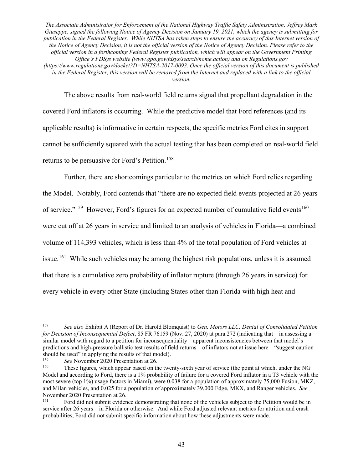The above results from real-world field returns signal that propellant degradation in the covered Ford inflators is occurring. While the predictive model that Ford references (and its applicable results) is informative in certain respects, the specific metrics Ford cites in support cannot be sufficiently squared with the actual testing that has been completed on real-world field returns to be persuasive for Ford's Petition.<sup>158</sup>

Further, there are shortcomings particular to the metrics on which Ford relies regarding the Model. Notably, Ford contends that "there are no expected field events projected at 26 years of service."<sup>159</sup> However, Ford's figures for an expected number of cumulative field events<sup>160</sup> were cut off at 26 years in service and limited to an analysis of vehicles in Florida—a combined volume of 114,393 vehicles, which is less than 4% of the total population of Ford vehicles at issue.<sup>161</sup> While such vehicles may be among the highest risk populations, unless it is assumed that there is a cumulative zero probability of inflator rupture (through 26 years in service) for every vehicle in every other State (including States other than Florida with high heat and

 <sup>158</sup> *See also* Exhibit A (Report of Dr. Harold Blomquist) to *Gen. Motors LLC, Denial of Consolidated Petition for Decision of Inconsequential Defect*, 85 FR 76159 (Nov. 27, 2020) at para.272 (indicating that—in assessing a similar model with regard to a petition for inconsequentiality—apparent inconsistencies between that model's predictions and high-pressure ballistic test results of field returns—of inflators not at issue here—"suggest caution should be used" in applying the results of that model).<br> $159$  See November 2020 Bresontation at 26

<sup>&</sup>lt;sup>159</sup> *See* November 2020 Presentation at 26.<br><sup>160</sup> These figures which appear based on the

These figures, which appear based on the twenty-sixth year of service (the point at which, under the NG Model and according to Ford, there is a 1% probability of failure for a covered Ford inflator in a T3 vehicle with the most severe (top 1%) usage factors in Miami), were 0.038 for a population of approximately 75,000 Fusion, MKZ, and Milan vehicles, and 0.025 for a population of approximately 39,000 Edge, MKX, and Ranger vehicles. *See* November 2020 Presentation at 26.<br><sup>161</sup> Eard did not submit avident

<sup>161</sup> Ford did not submit evidence demonstrating that none of the vehicles subject to the Petition would be in service after 26 years—in Florida or otherwise. And while Ford adjusted relevant metrics for attrition and crash probabilities, Ford did not submit specific information about how these adjustments were made.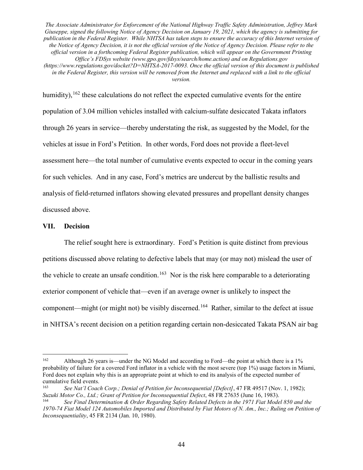humidity), <sup>162</sup> these calculations do not reflect the expected cumulative events for the entire population of 3.04 million vehicles installed with calcium-sulfate desiccated Takata inflators through 26 years in service—thereby understating the risk, as suggested by the Model, for the vehicles at issue in Ford's Petition. In other words, Ford does not provide a fleet-level assessment here—the total number of cumulative events expected to occur in the coming years for such vehicles. And in any case, Ford's metrics are undercut by the ballistic results and analysis of field-returned inflators showing elevated pressures and propellant density changes discussed above.

#### **VII. Decision**

The relief sought here is extraordinary. Ford's Petition is quite distinct from previous petitions discussed above relating to defective labels that may (or may not) mislead the user of the vehicle to create an unsafe condition.<sup>163</sup> Nor is the risk here comparable to a deteriorating exterior component of vehicle that—even if an average owner is unlikely to inspect the component—might (or might not) be visibly discerned.<sup>164</sup> Rather, similar to the defect at issue in NHTSA's recent decision on a petition regarding certain non-desiccated Takata PSAN air bag

<sup>&</sup>lt;sup>162</sup> Although 26 years is—under the NG Model and according to Ford—the point at which there is a 1% probability of failure for a covered Ford inflator in a vehicle with the most severe (top 1%) usage factors in Miami, Ford does not explain why this is an appropriate point at which to end its analysis of the expected number of cumulative field events.

See Nat'l Coach Corp.; Denial of Petition for Inconsequential [Defect], 47 FR 49517 (Nov. 1, 1982); *Suzuki Motor Co., Ltd.; Grant of Petition for Inconsequential Defect*, 48 FR 27635 (June 16, 1983).

<sup>164</sup> *See Final Determination & Order Regarding Safety Related Defects in the 1971 Fiat Model 850 and the*  1970-74 Fiat Model 124 Automobiles Imported and Distributed by Fiat Motors of N. Am., Inc.; Ruling on Petition of *Inconsequentiality*, 45 FR 2134 (Jan. 10, 1980).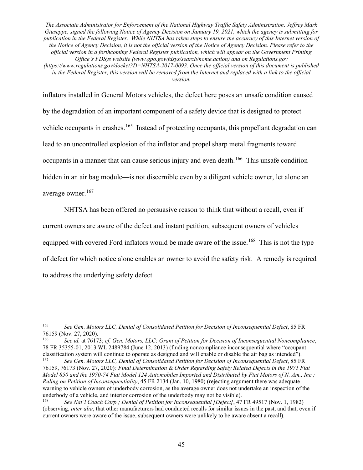inflators installed in General Motors vehicles, the defect here poses an unsafe condition caused by the degradation of an important component of a safety device that is designed to protect vehicle occupants in crashes.<sup>165</sup> Instead of protecting occupants, this propellant degradation can lead to an uncontrolled explosion of the inflator and propel sharp metal fragments toward occupants in a manner that can cause serious injury and even death.<sup>166</sup> This unsafe condition hidden in an air bag module—is not discernible even by a diligent vehicle owner, let alone an average owner.<sup>167</sup>

NHTSA has been offered no persuasive reason to think that without a recall, even if current owners are aware of the defect and instant petition, subsequent owners of vehicles equipped with covered Ford inflators would be made aware of the issue.<sup>168</sup> This is not the type of defect for which notice alone enables an owner to avoid the safety risk. A remedy is required to address the underlying safety defect.

 <sup>165</sup> *See Gen. Motors LLC, Denial of Consolidated Petition for Decision of Inconsequential Defect*, 85 FR 76159 (Nov. 27, 2020).<br><sup>166</sup> See id, at 7617

<sup>166</sup> *See id.* at 76173; *cf. Gen. Motors, LLC; Grant of Petition for Decision of Inconsequential Noncompliance*, 78 FR 35355-01, 2013 WL 2489784 (June 12, 2013) (finding noncompliance inconsequential where "occupant classification system will continue to operate as designed and will enable or disable the air bag as intended").<br><sup>167</sup> See Can Motors *LLC*, Danial of Consolidated Petition for Decision of Inconsequential Defect 85 FB

<sup>167</sup> *See Gen. Motors LLC, Denial of Consolidated Petition for Decision of Inconsequential Defect*, 85 FR 76159, 76173 (Nov. 27, 2020)*; Final Determination & Order Regarding Safety Related Defects in the 1971 Fiat Model 850 and the 1970-74 Fiat Model 124 Automobiles Imported and Distributed by Fiat Motors of N. Am., Inc.; Ruling on Petition of Inconsequentiality*, 45 FR 2134 (Jan. 10, 1980) (rejecting argument there was adequate warning to vehicle owners of underbody corrosion, as the average owner does not undertake an inspection of the underbody of a vehicle, and interior corrosion of the underbody may not be visible).<br> $\frac{168}{168}$  See Net'l Coach Com : Denial of Bettien for Inconsequential (Defect) 47

See Nat'l Coach Corp.; Denial of Petition for Inconsequential [Defect], 47 FR 49517 (Nov. 1, 1982) (observing, *inter alia*, that other manufacturers had conducted recalls for similar issues in the past, and that, even if current owners were aware of the issue, subsequent owners were unlikely to be aware absent a recall).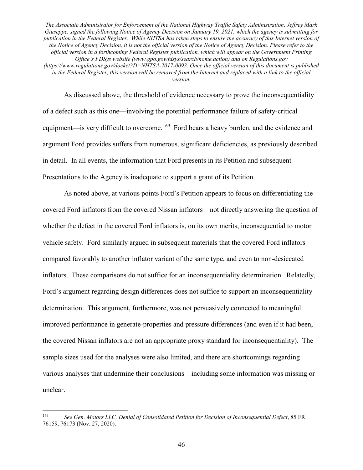As discussed above, the threshold of evidence necessary to prove the inconsequentiality of a defect such as this one—involving the potential performance failure of safety-critical equipment—is very difficult to overcome.<sup>169</sup> Ford bears a heavy burden, and the evidence and argument Ford provides suffers from numerous, significant deficiencies, as previously described in detail. In all events, the information that Ford presents in its Petition and subsequent Presentations to the Agency is inadequate to support a grant of its Petition.

As noted above, at various points Ford's Petition appears to focus on differentiating the covered Ford inflators from the covered Nissan inflators—not directly answering the question of whether the defect in the covered Ford inflators is, on its own merits, inconsequential to motor vehicle safety. Ford similarly argued in subsequent materials that the covered Ford inflators compared favorably to another inflator variant of the same type, and even to non-desiccated inflators. These comparisons do not suffice for an inconsequentiality determination. Relatedly, Ford's argument regarding design differences does not suffice to support an inconsequentiality determination. This argument, furthermore, was not persuasively connected to meaningful improved performance in generate-properties and pressure differences (and even if it had been, the covered Nissan inflators are not an appropriate proxy standard for inconsequentiality). The sample sizes used for the analyses were also limited, and there are shortcomings regarding various analyses that undermine their conclusions—including some information was missing or unclear.

 <sup>169</sup> *See Gen. Motors LLC, Denial of Consolidated Petition for Decision of Inconsequential Defect*, 85 FR 76159, 76173 (Nov. 27, 2020).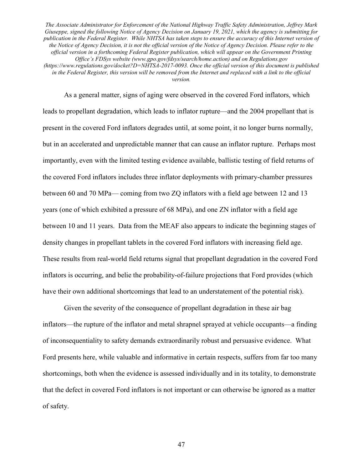As a general matter, signs of aging were observed in the covered Ford inflators, which leads to propellant degradation, which leads to inflator rupture—and the 2004 propellant that is present in the covered Ford inflators degrades until, at some point, it no longer burns normally, but in an accelerated and unpredictable manner that can cause an inflator rupture. Perhaps most importantly, even with the limited testing evidence available, ballistic testing of field returns of the covered Ford inflators includes three inflator deployments with primary-chamber pressures between 60 and 70 MPa— coming from two ZQ inflators with a field age between 12 and 13 years (one of which exhibited a pressure of 68 MPa), and one ZN inflator with a field age between 10 and 11 years. Data from the MEAF also appears to indicate the beginning stages of density changes in propellant tablets in the covered Ford inflators with increasing field age. These results from real-world field returns signal that propellant degradation in the covered Ford inflators is occurring, and belie the probability-of-failure projections that Ford provides (which have their own additional shortcomings that lead to an understatement of the potential risk).

Given the severity of the consequence of propellant degradation in these air bag inflators—the rupture of the inflator and metal shrapnel sprayed at vehicle occupants—a finding of inconsequentiality to safety demands extraordinarily robust and persuasive evidence. What Ford presents here, while valuable and informative in certain respects, suffers from far too many shortcomings, both when the evidence is assessed individually and in its totality, to demonstrate that the defect in covered Ford inflators is not important or can otherwise be ignored as a matter of safety.

47